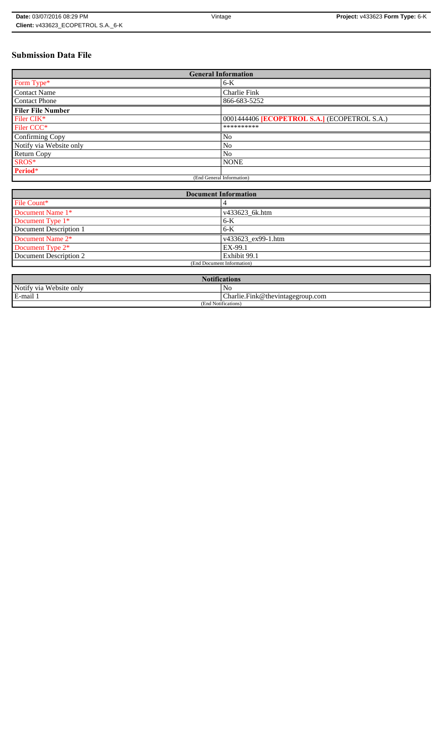# **Submission Data File**

| <b>General Information</b> |                                                     |  |  |  |  |  |  |
|----------------------------|-----------------------------------------------------|--|--|--|--|--|--|
| Form Type*                 | 6-K                                                 |  |  |  |  |  |  |
| <b>Contact Name</b>        | Charlie Fink                                        |  |  |  |  |  |  |
| <b>Contact Phone</b>       | 866-683-5252                                        |  |  |  |  |  |  |
| <b>Filer File Number</b>   |                                                     |  |  |  |  |  |  |
| Filer CIK*                 | 0001444406 <b>[ECOPETROL S.A.]</b> (ECOPETROL S.A.) |  |  |  |  |  |  |
| Filer CCC <sup>*</sup>     | **********                                          |  |  |  |  |  |  |
| Confirming Copy            | N <sub>o</sub>                                      |  |  |  |  |  |  |
| Notify via Website only    | N <sub>0</sub>                                      |  |  |  |  |  |  |
| <b>Return Copy</b>         | N <sub>o</sub>                                      |  |  |  |  |  |  |
| SROS*                      | <b>NONE</b>                                         |  |  |  |  |  |  |
| Period*                    |                                                     |  |  |  |  |  |  |
|                            | (End General Information)                           |  |  |  |  |  |  |

| <b>Document Information</b>  |                            |  |  |  |  |  |
|------------------------------|----------------------------|--|--|--|--|--|
| File Count*                  |                            |  |  |  |  |  |
| Document Name 1*             | v433623_6k.htm             |  |  |  |  |  |
| Document Type 1*             | $6 - K$                    |  |  |  |  |  |
| Document Description 1       | $6-K$                      |  |  |  |  |  |
| Document Name 2 <sup>*</sup> | $\sqrt{433623}$ ex99-1.htm |  |  |  |  |  |
| Document Type 2*             | EX-99.1                    |  |  |  |  |  |
| Document Description 2       | Exhibit 99.1               |  |  |  |  |  |
|                              | (End Document Information) |  |  |  |  |  |
|                              |                            |  |  |  |  |  |

| <b>Notifications</b>    |                                              |  |  |  |  |  |
|-------------------------|----------------------------------------------|--|--|--|--|--|
| Notify via Website only | NC                                           |  |  |  |  |  |
| E-mail 1                | $ {\rm Charlie,Fink@}$ the vintage group.com |  |  |  |  |  |
| (End Notifications)     |                                              |  |  |  |  |  |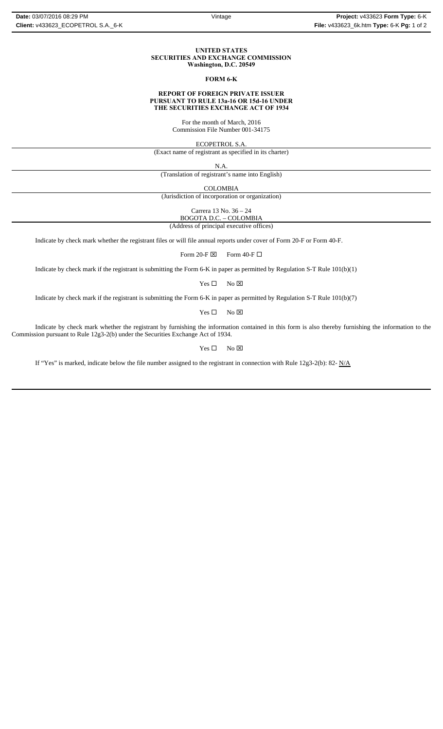#### **UNITED STATES SECURITIES AND EXCHANGE COMMISSION Washington, D.C. 20549**

#### **FORM 6-K**

#### **REPORT OF FOREIGN PRIVATE ISSUER PURSUANT TO RULE 13a-16 OR 15d-16 UNDER THE SECURITIES EXCHANGE ACT OF 1934**

For the month of March, 2016 Commission File Number 001-34175

ECOPETROL S.A.

(Exact name of registrant as specified in its charter)

N.A.

(Translation of registrant's name into English)

COLOMBIA

(Jurisdiction of incorporation or organization)

Carrera 13 No. 36 – 24

BOGOTA D.C. – COLOMBIA (Address of principal executive offices)

Indicate by check mark whether the registrant files or will file annual reports under cover of Form 20-F or Form 40-F.

Form 20-F  $\boxtimes$  Form 40-F  $\Box$ 

Indicate by check mark if the registrant is submitting the Form 6-K in paper as permitted by Regulation S-T Rule 101(b)(1)

 $Yes \Box$  No  $\boxtimes$ 

Indicate by check mark if the registrant is submitting the Form 6-K in paper as permitted by Regulation S-T Rule 101(b)(7)

 $Yes \Box$  No  $\boxtimes$ 

Indicate by check mark whether the registrant by furnishing the information contained in this form is also thereby furnishing the information to the Commission pursuant to Rule 12g3-2(b) under the Securities Exchange Act of 1934.

 $Yes \Box$  No  $\boxtimes$ 

If "Yes" is marked, indicate below the file number assigned to the registrant in connection with Rule 12g3-2(b): 82-  $N/A$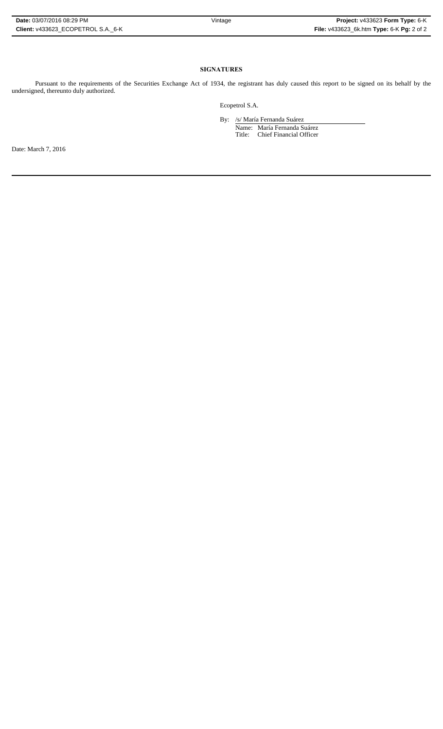### **SIGNATURES**

Pursuant to the requirements of the Securities Exchange Act of 1934, the registrant has duly caused this report to be signed on its behalf by the undersigned, thereunto duly authorized.

Ecopetrol S.A.

 By: /s/ María Fernanda Suárez Name: María Fernanda Suárez Title: Chief Financial Officer

Date: March 7, 2016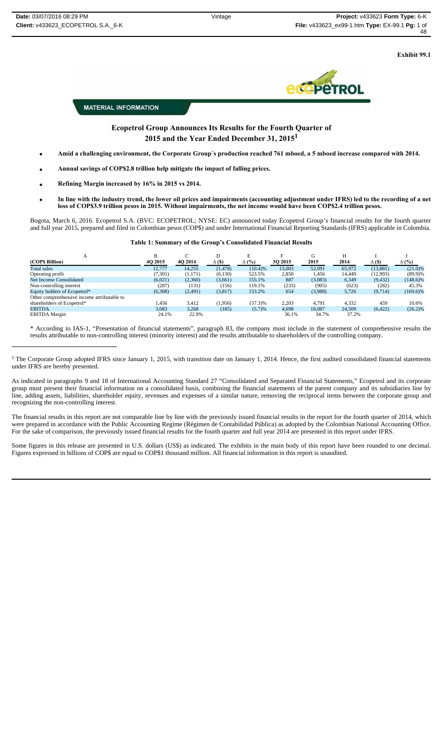**Exhibit 99.1**



**MATERIAL INFORMATION** 

**Ecopetrol Group Announces Its Results for the Fourth Quarter of 2015 and the Year Ended December 31, 20151**

- **Amid a challenging environment, the Corporate Group´s production reached 761 mboed, a 5 mboed increase compared with 2014.**
- **Annual savings of COP\$2.8 trillion help mitigate the impact of falling prices.**
- **Refining Margin increased by 16% in 2015 vs 2014.**
- **In line with the industry trend, the lower oil prices and impairments (accounting adjustment under IFRS) led to the recording of a net loss of COP\$3.9 trillion pesos in 2015. Without impairments, the net income would have been COP\$2.4 trillion pesos.**

Bogota, March 6, 2016. Ecopetrol S.A. (BVC: ECOPETROL; NYSE: EC) announced today Ecopetrol Group's financial results for the fourth quarter and full year 2015, prepared and filed in Colombian pesos (COP\$) and under International Financial Reporting Standards (IFRS) applicable in Colombia.

#### **Table 1: Summary of the Group's Consolidated Financial Results**

| А                                           |          |         | D             | E            | Е       | G       | Н      |              |              |
|---------------------------------------------|----------|---------|---------------|--------------|---------|---------|--------|--------------|--------------|
| (COPS Billion)                              | 4Q 2015  | 4Q 2014 | $\Delta$ (\$) | $\Delta$ (%) | 3Q 2015 | 2015    | 2014   | $\Delta$ (S) | $\Delta$ (%) |
| <b>Total sales</b>                          | 12,777   | 14,255  | (1, 478)      | (10.4)%      | 13,003  | 52,091  | 65,972 | (13, 881)    | $(21.0)\%$   |
| Operating profit                            | (7, 301) | (1,171) | (6,130)       | 523.5%       | 2,850   | 1,456   | 14,449 | (12,993)     | $(89.9)\%$   |
| Net Income Consolidated                     | (6,021)  | (2,360) | (3,661)       | 155.1%       | 887     | (3,083) | 6,349  | (9, 432)     | $(148.6)\%$  |
| Non-controlling interest                    | (287)    | (131)   | (156)         | 119.1%       | (233)   | (905)   | (623)  | (282)        | 45.3%        |
| Equity holders of Ecopetrol*                | (6,308)  | (2,491) | (3,817)       | 153.2%       | 654     | (3,988) | 5.726  | (9.714)      | $(169.6)\%$  |
| Other comprenhensive income attributable to |          |         |               |              |         |         |        |              |              |
| shareholders of Ecopetrol*                  | .456     | 3,412   | (1,956)       | $(57.3)\%$   | 2,203   | 4,791   | 4,332  | 459          | 10.6%        |
| <b>EBITDA</b>                               | 3,083    | 3,268   | (185)         | (5.7)%       | 4,698   | 18,087  | 24,509 | (6, 422)     | $(26.2)\%$   |
| <b>EBITDA</b> Margin                        | 24.1%    | 22.9%   |               |              | 36.1%   | 34.7%   | 37.2%  |              |              |

\* According to IAS-1, "Presentation of financial statements", paragraph 83, the company must include in the statement of comprehensive results the results attributable to non-controlling interest (minority interest) and the results attributable to shareholders of the controlling company.

 $1$  The Corporate Group adopted IFRS since January 1, 2015, with transition date on January 1, 2014. Hence, the first audited consolidated financial statements under IFRS are hereby presented.

As indicated in paragraphs 9 and 18 of International Accounting Standard 27 "Consolidated and Separated Financial Statements," Ecopetrol and its corporate group must present their financial information on a consolidated basis, combining the financial statements of the parent company and its subsidiaries line by line, adding assets, liabilities, shareholder equity, revenues and expenses of a similar nature, removing the reciprocal items between the corporate group and recognizing the non-controlling interest.

The financial results in this report are not comparable line by line with the previously issued financial results in the report for the fourth quarter of 2014, which were prepared in accordance with the Public Accounting Regime (Régimen de Contabilidad Pública) as adopted by the Colombian National Accounting Office. For the sake of comparison, the previously issued financial results for the fourth quarter and full year 2014 are presented in this report under IFRS.

Some figures in this release are presented in U.S. dollars (US\$) as indicated. The exhibits in the main body of this report have been rounded to one decimal. Figures expressed in billions of COP\$ are equal to COP\$1 thousand million. All financial information in this report is unaudited.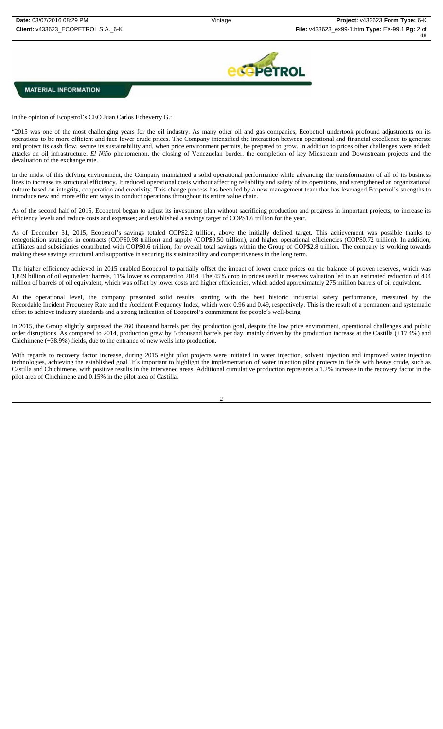

In the opinion of Ecopetrol's CEO Juan Carlos Echeverry G.:

"2015 was one of the most challenging years for the oil industry. As many other oil and gas companies, Ecopetrol undertook profound adjustments on its operations to be more efficient and face lower crude prices. The Company intensified the interaction between operational and financial excellence to generate and protect its cash flow, secure its sustainability and, when price environment permits, be prepared to grow. In addition to prices other challenges were added: attacks on oil infrastructure, *El Niño* phenomenon, the closing of Venezuelan border, the completion of key Midstream and Downstream projects and the devaluation of the exchange rate.

In the midst of this defying environment, the Company maintained a solid operational performance while advancing the transformation of all of its business lines to increase its structural efficiency. It reduced operational costs without affecting reliability and safety of its operations, and strengthened an organizational culture based on integrity, cooperation and creativity. This change process has been led by a new management team that has leveraged Ecopetrol's strengths to introduce new and more efficient ways to conduct operations throughout its entire value chain.

As of the second half of 2015, Ecopetrol began to adjust its investment plan without sacrificing production and progress in important projects; to increase its efficiency levels and reduce costs and expenses; and established a savings target of COP\$1.6 trillion for the year.

As of December 31, 2015, Ecopetrol's savings totaled COP\$2.2 trillion, above the initially defined target. This achievement was possible thanks to renegotiation strategies in contracts (COP\$0.98 trillion) and supply (COP\$0.50 trillion), and higher operational efficiencies (COP\$0.72 trillion). In addition, affiliates and subsidiaries contributed with COP\$0.6 trillion, for overall total savings within the Group of COP\$2.8 trillion. The company is working towards making these savings structural and supportive in securing its sustainability and competitiveness in the long term.

The higher efficiency achieved in 2015 enabled Ecopetrol to partially offset the impact of lower crude prices on the balance of proven reserves, which was 1,849 billion of oil equivalent barrels, 11% lower as compared to 2014. The 45% drop in prices used in reserves valuation led to an estimated reduction of 404 million of barrels of oil equivalent, which was offset by lower costs and higher efficiencies, which added approximately 275 million barrels of oil equivalent.

At the operational level, the company presented solid results, starting with the best historic industrial safety performance, measured by the Recordable Incident Frequency Rate and the Accident Frequency Index, which were 0.96 and 0.49, respectively. This is the result of a permanent and systematic effort to achieve industry standards and a strong indication of Ecopetrol's commitment for people´s well-being.

In 2015, the Group slightly surpassed the 760 thousand barrels per day production goal, despite the low price environment, operational challenges and public order disruptions. As compared to 2014, production grew by 5 thousand barrels per day, mainly driven by the production increase at the Castilla (+17.4%) and Chichimene (+38.9%) fields, due to the entrance of new wells into production.

With regards to recovery factor increase, during 2015 eight pilot projects were initiated in water injection, solvent injection and improved water injection technologies, achieving the established goal. It´s important to highlight the implementation of water injection pilot projects in fields with heavy crude, such as Castilla and Chichimene, with positive results in the intervened areas. Additional cumulative production represents a 1.2% increase in the recovery factor in the pilot area of Chichimene and 0.15% in the pilot area of Castilla.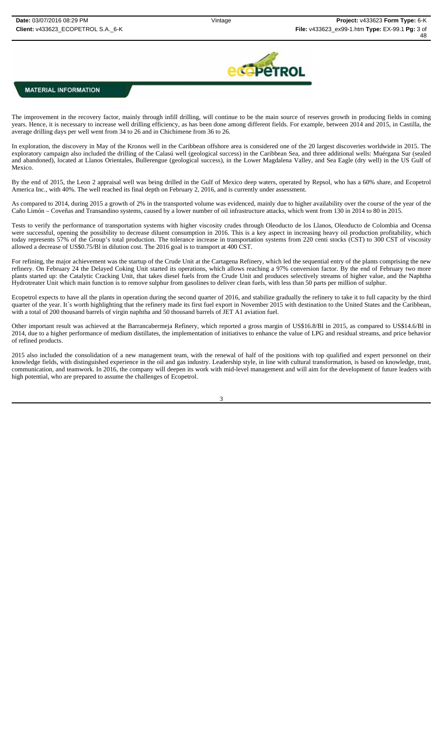

The improvement in the recovery factor, mainly through infill drilling, will continue to be the main source of reserves growth in producing fields in coming years. Hence, it is necessary to increase well drilling efficiency, as has been done among different fields. For example, between 2014 and 2015, in Castilla, the average drilling days per well went from 34 to 26 and in Chichimene from 36 to 26.

In exploration, the discovery in May of the Kronos well in the Caribbean offshore area is considered one of the 20 largest discoveries worldwide in 2015. The exploratory campaign also included the drilling of the Calasú well (geological success) in the Caribbean Sea, and three additional wells: Muérgana Sur (sealed and abandoned), located at Llanos Orientales, Bullerengue (geological success), in the Lower Magdalena Valley, and Sea Eagle (dry well) in the US Gulf of Mexico.

By the end of 2015, the Leon 2 appraisal well was being drilled in the Gulf of Mexico deep waters, operated by Repsol, who has a 60% share, and Ecopetrol America Inc., with 40%. The well reached its final depth on February 2, 2016, and is currently under assessment.

As compared to 2014, during 2015 a growth of 2% in the transported volume was evidenced, mainly due to higher availability over the course of the year of the Caño Limón – Coveñas and Transandino systems, caused by a lower number of oil infrastructure attacks, which went from 130 in 2014 to 80 in 2015.

Tests to verify the performance of transportation systems with higher viscosity crudes through Oleoducto de los Llanos, Oleoducto de Colombia and Ocensa were successful, opening the possibility to decrease diluent consumption in 2016. This is a key aspect in increasing heavy oil production profitability, which today represents 57% of the Group's total production. The tolerance increase in transportation systems from 220 centi stocks (CST) to 300 CST of viscosity allowed a decrease of US\$0.75/Bl in dilution cost. The 2016 goal is to transport at 400 CST.

For refining, the major achievement was the startup of the Crude Unit at the Cartagena Refinery, which led the sequential entry of the plants comprising the new refinery. On February 24 the Delayed Coking Unit started its operations, which allows reaching a 97% conversion factor. By the end of February two more plants started up: the Catalytic Cracking Unit, that takes diesel fuels from the Crude Unit and produces selectively streams of higher value, and the Naphtha Hydrotreater Unit which main function is to remove sulphur from gasolines to deliver clean fuels, with less than 50 parts per million of sulphur.

Ecopetrol expects to have all the plants in operation during the second quarter of 2016, and stabilize gradually the refinery to take it to full capacity by the third quarter of the year. It´s worth highlighting that the refinery made its first fuel export in November 2015 with destination to the United States and the Caribbean, with a total of 200 thousand barrels of virgin naphtha and 50 thousand barrels of JET A1 aviation fuel.

Other important result was achieved at the Barrancabermeja Refinery, which reported a gross margin of US\$16.8/Bl in 2015, as compared to US\$14.6/Bl in 2014, due to a higher performance of medium distillates, the implementation of initiatives to enhance the value of LPG and residual streams, and price behavior of refined products.

2015 also included the consolidation of a new management team, with the renewal of half of the positions with top qualified and expert personnel on their knowledge fields, with distinguished experience in the oil and gas industry. Leadership style, in line with cultural transformation, is based on knowledge, trust, communication, and teamwork. In 2016, the company will deepen its work with mid-level management and will aim for the development of future leaders with high potential, who are prepared to assume the challenges of Ecopetrol.

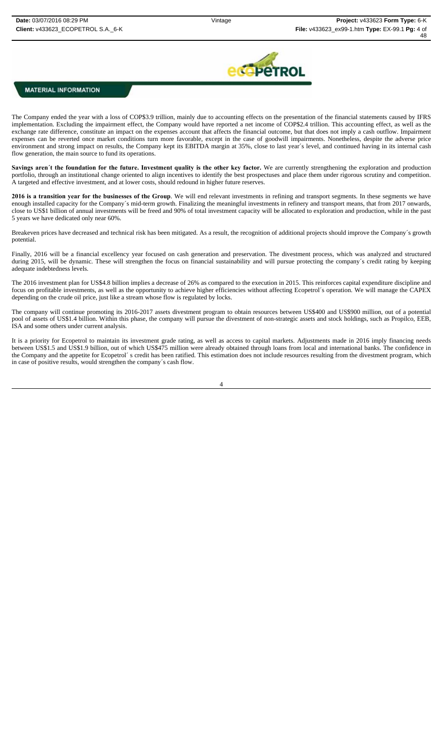

The Company ended the year with a loss of COP\$3.9 trillion, mainly due to accounting effects on the presentation of the financial statements caused by IFRS implementation. Excluding the impairment effect, the Company would have reported a net income of COP\$2.4 trillion. This accounting effect, as well as the exchange rate difference, constitute an impact on the expenses account that affects the financial outcome, but that does not imply a cash outflow. Impairment expenses can be reverted once market conditions turn more favorable, except in the case of goodwill impairments. Nonetheless, despite the adverse price environment and strong impact on results, the Company kept its EBITDA margin at 35%, close to last year´s level, and continued having in its internal cash flow generation, the main source to fund its operations.

**Savings aren´t the foundation for the future. Investment quality is the other key factor.** We are currently strengthening the exploration and production portfolio, through an institutional change oriented to align incentives to identify the best prospectuses and place them under rigorous scrutiny and competition. A targeted and effective investment, and at lower costs, should redound in higher future reserves.

**2016 is a transition year for the businesses of the Group**. We will end relevant investments in refining and transport segments. In these segments we have enough installed capacity for the Company´s mid-term growth. Finalizing the meaningful investments in refinery and transport means, that from 2017 onwards, close to US\$1 billion of annual investments will be freed and 90% of total investment capacity will be allocated to exploration and production, while in the past 5 years we have dedicated only near 60%.

Breakeven prices have decreased and technical risk has been mitigated. As a result, the recognition of additional projects should improve the Company's growth potential.

Finally, 2016 will be a financial excellency year focused on cash generation and preservation. The divestment process, which was analyzed and structured during 2015, will be dynamic. These will strengthen the focus on financial sustainability and will pursue protecting the company's credit rating by keeping adequate indebtedness levels.

The 2016 investment plan for US\$4.8 billion implies a decrease of 26% as compared to the execution in 2015. This reinforces capital expenditure discipline and focus on profitable investments, as well as the opportunity to achieve higher efficiencies without affecting Ecopetrol´s operation. We will manage the CAPEX depending on the crude oil price, just like a stream whose flow is regulated by locks.

The company will continue promoting its 2016-2017 assets divestment program to obtain resources between US\$400 and US\$900 million, out of a potential pool of assets of US\$1.4 billion. Within this phase, the company will pursue the divestment of non-strategic assets and stock holdings, such as Propilco, EEB, ISA and some others under current analysis.

It is a priority for Ecopetrol to maintain its investment grade rating, as well as access to capital markets. Adjustments made in 2016 imply financing needs between US\$1.5 and US\$1.9 billion, out of which US\$475 million were already obtained through loans from local and international banks. The confidence in the Company and the appetite for Ecopetrol's credit has been ratified. This estimation does not include resources resulting from the divestment program, which in case of positive results, would strengthen the company´s cash flow.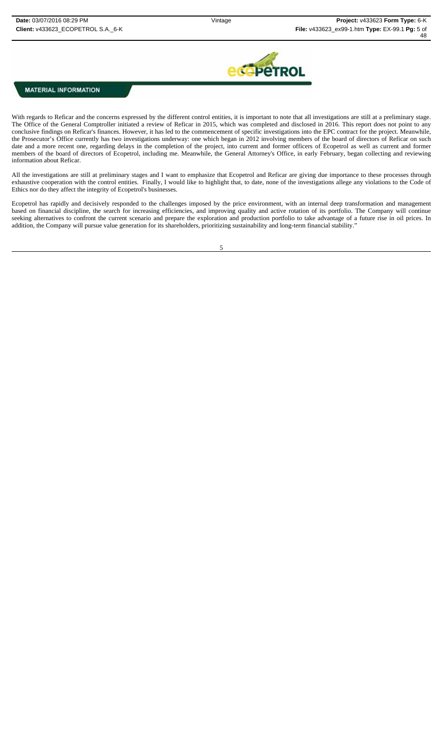

With regards to Reficar and the concerns expressed by the different control entities, it is important to note that all investigations are still at a preliminary stage. The Office of the General Comptroller initiated a review of Reficar in 2015, which was completed and disclosed in 2016. This report does not point to any conclusive findings on Reficar's finances. However, it has led to the commencement of specific investigations into the EPC contract for the project. Meanwhile, the Prosecutor's Office currently has two investigations underway: one which began in 2012 involving members of the board of directors of Reficar on such date and a more recent one, regarding delays in the completion of the project, into current and former officers of Ecopetrol as well as current and former members of the board of directors of Ecopetrol, including me. Meanwhile, the General Attorney's Office, in early February, began collecting and reviewing information about Reficar.

All the investigations are still at preliminary stages and I want to emphasize that Ecopetrol and Reficar are giving due importance to these processes through exhaustive cooperation with the control entities. Finally, I would like to highlight that, to date, none of the investigations allege any violations to the Code of Ethics nor do they affect the integrity of Ecopetrol's businesses.

Ecopetrol has rapidly and decisively responded to the challenges imposed by the price environment, with an internal deep transformation and management based on financial discipline, the search for increasing efficiencies, and improving quality and active rotation of its portfolio. The Company will continue seeking alternatives to confront the current scenario and prepare the exploration and production portfolio to take advantage of a future rise in oil prices. In addition, the Company will pursue value generation for its shareholders, prioritizing sustainability and long-term financial stability."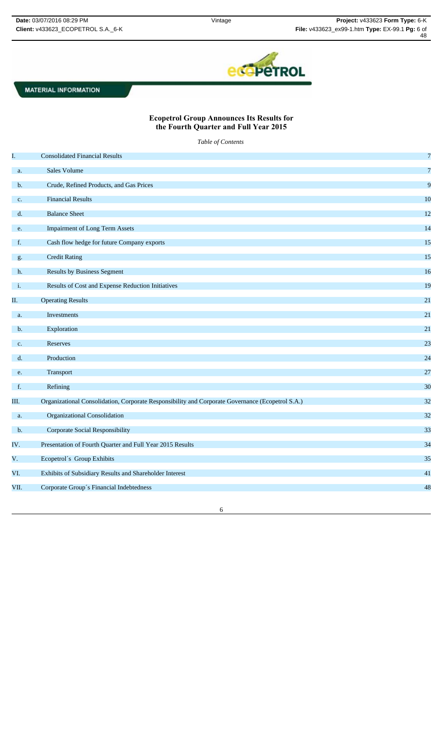

# **Ecopetrol Group Announces Its Results for the Fourth Quarter and Full Year 2015**

*Table of Contents*

| I.   | <b>Consolidated Financial Results</b>                                                            | $\overline{7}$ |
|------|--------------------------------------------------------------------------------------------------|----------------|
| a.   | Sales Volume                                                                                     | $\overline{7}$ |
| b.   | Crude, Refined Products, and Gas Prices                                                          | 9              |
| c.   | <b>Financial Results</b>                                                                         | 10             |
| d.   | <b>Balance Sheet</b>                                                                             | 12             |
| e.   | <b>Impairment of Long Term Assets</b>                                                            | 14             |
| f.   | Cash flow hedge for future Company exports                                                       | 15             |
| g.   | <b>Credit Rating</b>                                                                             | 15             |
| h.   | <b>Results by Business Segment</b>                                                               | 16             |
| i.   | Results of Cost and Expense Reduction Initiatives                                                | 19             |
| Π.   | <b>Operating Results</b>                                                                         | 21             |
| a.   | Investments                                                                                      | 21             |
| b.   | Exploration                                                                                      | 21             |
| c.   | Reserves                                                                                         | 23             |
| d.   | Production                                                                                       | 24             |
| e.   | Transport                                                                                        | 27             |
| f.   | Refining                                                                                         | 30             |
|      |                                                                                                  | 32             |
| Ш.   | Organizational Consolidation, Corporate Responsibility and Corporate Governance (Ecopetrol S.A.) |                |
| a.   | Organizational Consolidation                                                                     | 32             |
| b.   | <b>Corporate Social Responsibility</b>                                                           | 33             |
| IV.  | Presentation of Fourth Quarter and Full Year 2015 Results                                        | 34             |
| V.   | Ecopetrol's Group Exhibits                                                                       | 35             |
| VI.  | Exhibits of Subsidiary Results and Shareholder Interest                                          | 41             |
| VII. | Corporate Group's Financial Indebtedness                                                         | 48             |
|      |                                                                                                  |                |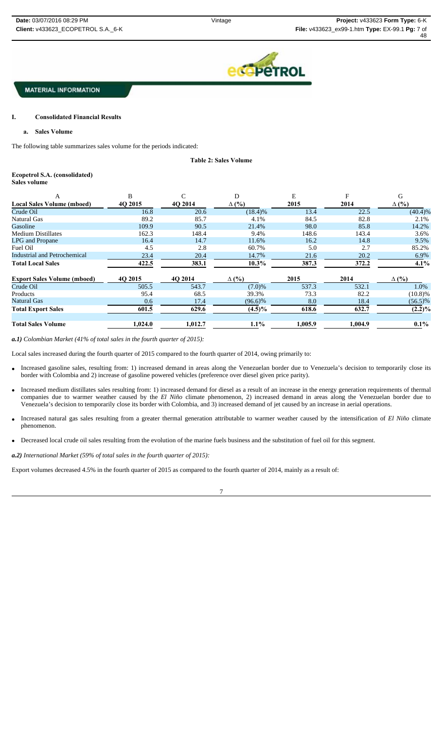

# **I. Consolidated Financial Results**

**a. Sales Volume**

The following table summarizes sales volume for the periods indicated:

**Table 2: Sales Volume** 

### **Ecopetrol S.A. (consolidated)**

**Sales volume**

| A                                  | B       |         | D            | E       | F       | G            |
|------------------------------------|---------|---------|--------------|---------|---------|--------------|
| <b>Local Sales Volume (mboed)</b>  | 40 2015 | 40 2014 | $\Delta$ (%) | 2015    | 2014    | $\Delta$ (%) |
| Crude Oil                          | 16.8    | 20.6    | $(18.4)\%$   | 13.4    | 22.5    | $(40.4)\%$   |
| Natural Gas                        | 89.2    | 85.7    | 4.1%         | 84.5    | 82.8    | 2.1%         |
| Gasoline                           | 109.9   | 90.5    | 21.4%        | 98.0    | 85.8    | 14.2%        |
| <b>Medium Distillates</b>          | 162.3   | 148.4   | 9.4%         | 148.6   | 143.4   | 3.6%         |
| <b>LPG</b> and Propane             | 16.4    | 14.7    | 11.6%        | 16.2    | 14.8    | 9.5%         |
| Fuel Oil                           | 4.5     | 2.8     | 60.7%        | 5.0     | 2.7     | 85.2%        |
| Industrial and Petrochemical       | 23.4    | 20.4    | 14.7%        | 21.6    | 20.2    | 6.9%         |
| <b>Total Local Sales</b>           | 422.5   | 383.1   | $10.3\%$     | 387.3   | 372.2   | 4.1%         |
| <b>Export Sales Volume (mboed)</b> | 40 2015 | 40 2014 | $\Delta$ (%) | 2015    | 2014    | $\Delta$ (%) |
| Crude Oil                          | 505.5   | 543.7   | $(7.0)\%$    | 537.3   | 532.1   | 1.0%         |
| Products                           | 95.4    | 68.5    | 39.3%        | 73.3    | 82.2    | $(10.8)\%$   |
| <b>Natural Gas</b>                 | 0.6     | 17.4    | $(96.6)\%$   | 8.0     | 18.4    | $(56.5)\%$   |
| <b>Total Export Sales</b>          | 601.5   | 629.6   | $(4.5)\%$    | 618.6   | 632.7   | $(2.2)\%$    |
| <b>Total Sales Volume</b>          | 1,024.0 | 1,012.7 | $1.1\%$      | 1,005.9 | 1,004.9 | $0.1\%$      |

*a.1) Colombian Market (41% of total sales in the fourth quarter of 2015):* 

Local sales increased during the fourth quarter of 2015 compared to the fourth quarter of 2014, owing primarily to:

- Increased gasoline sales, resulting from: 1) increased demand in areas along the Venezuelan border due to Venezuela's decision to temporarily close its border with Colombia and 2) increase of gasoline powered vehicles (preference over diesel given price parity).
- Increased medium distillates sales resulting from: 1) increased demand for diesel as a result of an increase in the energy generation requirements of thermal companies due to warmer weather caused by the *El Niño* climate phenomenon, 2) increased demand in areas along the Venezuelan border due to Venezuela's decision to temporarily close its border with Colombia, and 3) increased demand of jet caused by an increase in aerial operations.
- Increased natural gas sales resulting from a greater thermal generation attributable to warmer weather caused by the intensification of *El Niño* climate phenomenon.
- Decreased local crude oil sales resulting from the evolution of the marine fuels business and the substitution of fuel oil for this segment.

*a.2) International Market (59% of total sales in the fourth quarter of 2015):*

Export volumes decreased 4.5% in the fourth quarter of 2015 as compared to the fourth quarter of 2014, mainly as a result of: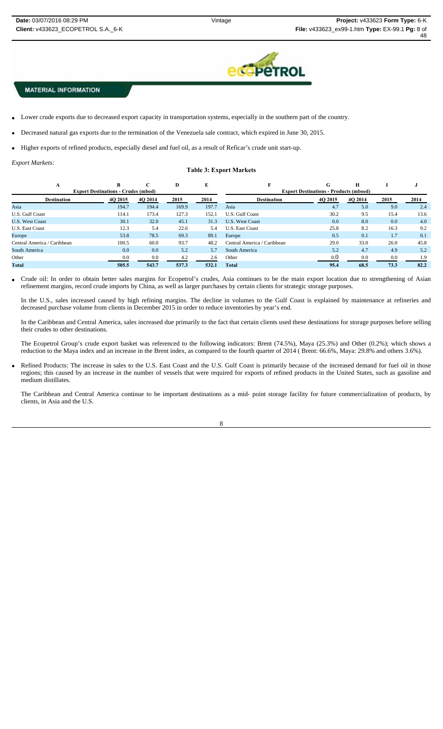

- Lower crude exports due to decreased export capacity in transportation systems, especially in the southern part of the country.
- Decreased natural gas exports due to the termination of the Venezuela sale contract, which expired in June 30, 2015.
- Higher exports of refined products, especially diesel and fuel oil, as a result of Reficar's crude unit start-up.

*Export Markets:* 

# **Table 3: Export Markets**

| A                           | B                                          |         | D     | Е     |                                               | G       | Н       |      |      |  |  |
|-----------------------------|--------------------------------------------|---------|-------|-------|-----------------------------------------------|---------|---------|------|------|--|--|
|                             | <b>Export Destinations - Crudes (mbod)</b> |         |       |       | <b>Export Destinations - Products (mboed)</b> |         |         |      |      |  |  |
| <b>Destination</b>          | 4Q 2015                                    | 4Q 2014 | 2015  | 2014  | <b>Destination</b>                            | 4Q 2015 | 4Q 2014 | 2015 | 2014 |  |  |
| Asia                        | 194.7                                      | 194.4   | 169.9 | 197.7 | Asia                                          | 4.7     | 5.0     | 9.0  | 2.4  |  |  |
| U.S. Gulf Coast             | 114.1                                      | 173.4   | 127.3 | 152.1 | U.S. Gulf Coast                               | 30.2    | 9.5     | 15.4 | 13.6 |  |  |
| <b>U.S. West Coast</b>      | 30.1                                       | 32.0    | 45.1  | 31.3  | <b>U.S. West Coast</b>                        | 0.0     | 8.0     | 0.0  | 4.0  |  |  |
| <b>U.S. East Coast</b>      | 12.3                                       | 5.4     | 22.6  | 5.4   | <b>U.S. East Coast</b>                        | 25.8    | 8.2     | 16.3 | 9.2  |  |  |
| Europe                      | 53.8                                       | 78.5    | 69.3  | 89.1  | Europe                                        | 0.5     | 0.1     | 1.7  | 0.1  |  |  |
| Central America / Caribbean | 100.5                                      | 60.0    | 93.7  | 48.2  | Central America / Caribbean                   | 29.0    | 33.0    | 26.0 | 45.8 |  |  |
| South America               | 0.0                                        | 0.0     | 5.2   | 5.7   | South America                                 | 5.2     | 4.7     | 4.9  | 5.2  |  |  |
| Other                       | 0.0                                        | 0.0     | 4.2   | 2.6   | Other                                         | 0.0     | 0.0     | 0.0  | 1.9  |  |  |
| Total                       | 505.5                                      | 543.7   | 537.3 | 532.1 | Total                                         | 95.4    | 68.5    | 73.3 | 82.2 |  |  |

 Crude oil: In order to obtain better sales margins for Ecopetrol's crudes, Asia continues to be the main export location due to strengthening of Asian refinement margins, record crude imports by China, as well as larger purchases by certain clients for strategic storage purposes.

In the U.S., sales increased caused by high refining margins. The decline in volumes to the Gulf Coast is explained by maintenance at refineries and decreased purchase volume from clients in December 2015 in order to reduce inventories by year's end.

In the Caribbean and Central America, sales increased due primarily to the fact that certain clients used these destinations for storage purposes before selling their crudes to other destinations.

The Ecopetrol Group's crude export basket was referenced to the following indicators: Brent (74.5%), Maya (25.3%) and Other (0.2%); which shows a reduction to the Maya index and an increase in the Brent index, as compared to the fourth quarter of 2014 ( Brent: 66.6%, Maya: 29.8% and others 3.6%).

 Refined Products: The increase in sales to the U.S. East Coast and the U.S. Gulf Coast is primarily because of the increased demand for fuel oil in those regions; this caused by an increase in the number of vessels that were required for exports of refined products in the United States, such as gasoline and medium distillates.

The Caribbean and Central America continue to be important destinations as a mid- point storage facility for future commercialization of products, by clients, in Asia and the U.S.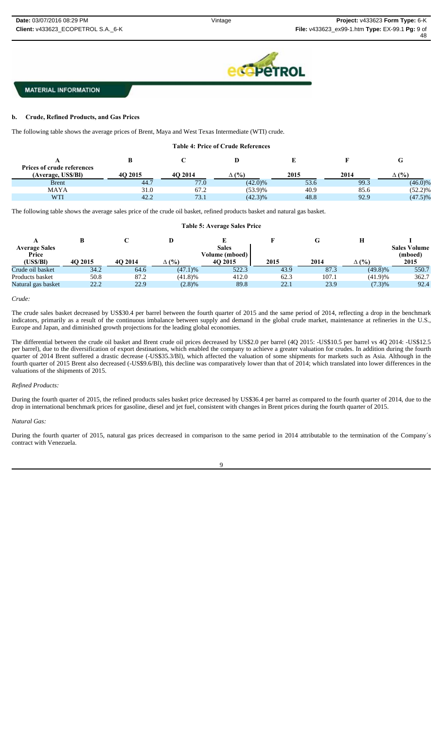

### **b. Crude, Refined Products, and Gas Prices**

The following table shows the average prices of Brent, Maya and West Texas Intermediate (WTI) crude.

| <b>Table 4: Price of Crude References</b> |         |         |              |      |      |              |  |  |  |  |  |
|-------------------------------------------|---------|---------|--------------|------|------|--------------|--|--|--|--|--|
| G<br><b>Prices of crude references</b>    |         |         |              |      |      |              |  |  |  |  |  |
| (Average, US\$/Bl)                        | 4O 2015 | 4O 2014 | $\Delta$ (%) | 2015 | 2014 | $\Delta$ (%) |  |  |  |  |  |
| <b>B</b> rent                             | 44.7    | 77.0    | $(42.0)\%$   | 53.6 | 99.3 | $(46.0)\%$   |  |  |  |  |  |
| <b>MAYA</b>                               | 31.0    | 67.2    | (53.9)%      | 40.9 | 85.6 | $(52.2)\%$   |  |  |  |  |  |
| <b>WTI</b>                                | 42.2    | 73.1    | $(42.3)\%$   | 48.8 | 92.9 | $(47.5)\%$   |  |  |  |  |  |

The following table shows the average sales price of the crude oil basket, refined products basket and natural gas basket.

#### **Table 5: Average Sales Price**

| <b>Average Sales</b> |         |         |              | <b>Sales</b>   |      |       |              | <b>Sales Volume</b> |
|----------------------|---------|---------|--------------|----------------|------|-------|--------------|---------------------|
| Price                |         |         |              | Volume (mboed) |      |       |              | (mboed)             |
| (US\$/Bl)            | 4O 2015 | 4O 2014 | $\Delta$ (%) | 40 2015        | 2015 | 2014  | $\Delta$ (%) | 2015                |
| Crude oil basket     | 34.2    | 64.6    | $(47.1)\%$   | 522.3          | 43.9 | 87.3  | $(49.8)\%$   | 550.7               |
| Products basket      | 50.8    | 87.2    | (41.8)%      | 412.0          | 62.3 | 107.1 | (41.9)%      | 362.7               |
| Natural gas basket   | 22.2    | 22.9    | (2.8)%       | 89.8           | 22.1 | 23.9  | (7.3)%       | 92.4                |

#### *Crude:*

The crude sales basket decreased by US\$30.4 per barrel between the fourth quarter of 2015 and the same period of 2014, reflecting a drop in the benchmark indicators, primarily as a result of the continuous imbalance between supply and demand in the global crude market, maintenance at refineries in the U.S., Europe and Japan, and diminished growth projections for the leading global economies.

The differential between the crude oil basket and Brent crude oil prices decreased by US\$2.0 per barrel (4Q 2015: -US\$10.5 per barrel vs 4Q 2014: -US\$12.5 per barrel), due to the diversification of export destinations, which enabled the company to achieve a greater valuation for crudes. In addition during the fourth quarter of 2014 Brent suffered a drastic decrease (-US\$35.3/Bl), which affected the valuation of some shipments for markets such as Asia. Although in the fourth quarter of 2015 Brent also decreased (-US\$9.6/Bl), this decline was comparatively lower than that of 2014; which translated into lower differences in the valuations of the shipments of 2015.

#### *Refined Products:*

During the fourth quarter of 2015, the refined products sales basket price decreased by US\$36.4 per barrel as compared to the fourth quarter of 2014, due to the drop in international benchmark prices for gasoline, diesel and jet fuel, consistent with changes in Brent prices during the fourth quarter of 2015.

#### *Natural Gas:*

During the fourth quarter of 2015, natural gas prices decreased in comparison to the same period in 2014 attributable to the termination of the Company´s contract with Venezuela.

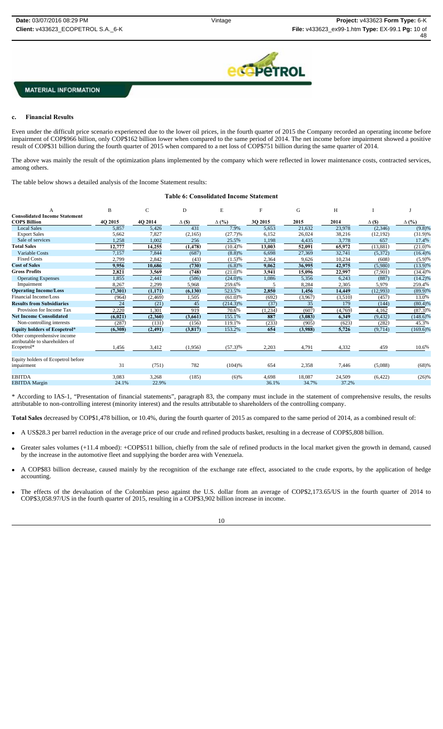

#### **c. Financial Results**

Even under the difficult price scenario experienced due to the lower oil prices, in the fourth quarter of 2015 the Company recorded an operating income before impairment of COP\$966 billion, only COP\$162 billion lower when compared to the same period of 2014. The net income before impairment showed a positive result of COP\$31 billion during the fourth quarter of 2015 when compared to a net loss of COP\$751 billion during the same quarter of 2014.

The above was mainly the result of the optimization plans implemented by the company which were reflected in lower maintenance costs, contracted services, among others.

The table below shows a detailed analysis of the Income Statement results:

#### **Table 6: Consolidated Income Statement**

|                                                                | B              | C              | D             | E                     | F              | G               | H               |               |              |
|----------------------------------------------------------------|----------------|----------------|---------------|-----------------------|----------------|-----------------|-----------------|---------------|--------------|
| <b>Consolidated Income Statement</b>                           |                |                |               |                       |                |                 |                 |               |              |
| <b>COPS Billion</b>                                            | 4Q 2015        | 4Q 2014        | $\Delta$ (\$) | $\Delta$ (%)          | 3Q 2015        | 2015            | 2014            | $\Delta$ (\$) | $\Delta$ (%) |
| <b>Local Sales</b>                                             | 5,857          | 5,426          | 431           | 7.9%                  | 5,653          | 21,632          | 23,978          | (2,346)       | (9.8)%       |
| <b>Export Sales</b>                                            | 5,662          | 7,827          | (2,165)       | (27.7)%               | 6,152          | 26,024          | 38,216          | (12, 192)     | $(31.9)\%$   |
| Sale of services                                               | 1,258          | 1,002          | 256           | 25.5%                 | 1,198          | 4,435           | 3,778           | 657           | 17.4%        |
| <b>Total Sales</b>                                             | 12,777         | 14,255         | (1, 478)      | (10.4)%               | 13,003         | 52,091          | 65,972          | (13,881)      | (21.0)%      |
| <b>Variable Costs</b>                                          | 7,157          | 7,844          | (687)         | (8.8)%                | 6,698          | 27,369          | 32,741          | (5,372)       | (16.4)%      |
| <b>Fixed Costs</b>                                             | 2,799          | 2,842          | (43)          | $(1.5)\%$             | 2,364          | 9,626           | 10,234          | (608)         | (5.9)%       |
| <b>Cost of Sales</b>                                           | 9,956          | 10,686         | (730)         | (6.8)%                | 9,062          | 36,995          | 42,975          | (5,980)       | (13.9)%      |
| <b>Gross Profits</b>                                           | 2,821          | 3,569          | (748)         | (21.0)%               | 3,941          | 15,096          | 22,997          | (7,901)       | (34.4)%      |
| <b>Operating Expenses</b>                                      | 1,855          | 2,441          | (586)         | $(24.0)\%$            | 1,086          | 5,356           | 6,243           | (887)         | $(14.2)\%$   |
| Impairment                                                     | 8,267          | 2,299          | 5,968         | 259.6%                |                | 8,284           | 2,305           | 5,979         | 259.4%       |
| <b>Operating Income/Loss</b>                                   | (7, 301)       | (1, 171)       | (6, 130)      | 523.5%                | 2,850          | 1,456           | 14,449          | (12,993)      | (89.9)%      |
| Financial Income/Loss                                          | (964)          | (2, 469)       | 1,505         | $\overline{(61.0)}\%$ | (692)          | (3,967)         | (3,510)         | (457)         | 13.0%        |
| <b>Results from Subsidiaries</b>                               | 24             | (21)           | 45            | $(214.3)\%$           | (37)           | 35              | 179             | (144)         | (80.4)%      |
| Provision for Income Tax                                       | 2,220          | 1,301          | 919           | 70.6%                 | (1,234)        | (607)           | (4,769)         | 4,162         | $(87.3)\%$   |
| <b>Net Income Consolidated</b>                                 | (6, 021)       | (2,360)        | (3,661)       | 155.1%                | 887            | (3,083)         | 6,349           | (9, 432)      | $(148.6)\%$  |
| Non-controlling interests                                      | (287)          | (131)          | (156)         | 119.1%                | (233)          | (905)           | (623)           | (282)         | 45.3%        |
| <b>Equity holders of Ecopetrol*</b>                            | (6,308)        | (2, 491)       | (3, 817)      | 153.2%                | 654            | (3,988)         | 5,726           | (9,714)       | $(169.6)\%$  |
| Other comprenhensive income<br>attributable to shareholders of |                |                |               |                       |                |                 |                 |               |              |
| Ecopetrol*                                                     | 1,456          | 3,412          | (1,956)       | $(57.3)\%$            | 2,203          | 4,791           | 4,332           | 459           | 10.6%        |
|                                                                |                |                |               |                       |                |                 |                 |               |              |
| Equity holders of Ecopetrol before                             |                |                |               |                       |                |                 |                 |               |              |
| impairment                                                     | 31             | (751)          | 782           | (104)%                | 654            | 2,358           | 7,446           | (5,088)       | (68)%        |
| <b>EBITDA</b>                                                  |                |                |               |                       |                |                 |                 |               |              |
| <b>EBITDA</b> Margin                                           | 3,083<br>24.1% | 3,268<br>22.9% | (185)         | $(6)$ %               | 4,698<br>36.1% | 18,087<br>34.7% | 24,509<br>37.2% | (6,422)       | (26)%        |
|                                                                |                |                |               |                       |                |                 |                 |               |              |

\* According to IAS-1, "Presentation of financial statements", paragraph 83, the company must include in the statement of comprehensive results, the results attributable to non-controlling interest (minority interest) and the results attributable to shareholders of the controlling company.

**Total Sales** decreased by COP\$1,478 billion, or 10.4%, during the fourth quarter of 2015 as compared to the same period of 2014, as a combined result of:

A US\$28.3 per barrel reduction in the average price of our crude and refined products basket, resulting in a decrease of COP\$5,808 billion.

- Greater sales volumes (+11.4 mboed): +COP\$511 billion, chiefly from the sale of refined products in the local market given the growth in demand, caused by the increase in the automotive fleet and supplying the border area with Venezuela.
- A COP\$83 billion decrease, caused mainly by the recognition of the exchange rate effect, associated to the crude exports, by the application of hedge accounting.
- The effects of the devaluation of the Colombian peso against the U.S. dollar from an average of COP\$2,173.65/US in the fourth quarter of 2014 to COP\$3,058.97/US in the fourth quarter of 2015, resulting in a COP\$3,902 billion increase in income.

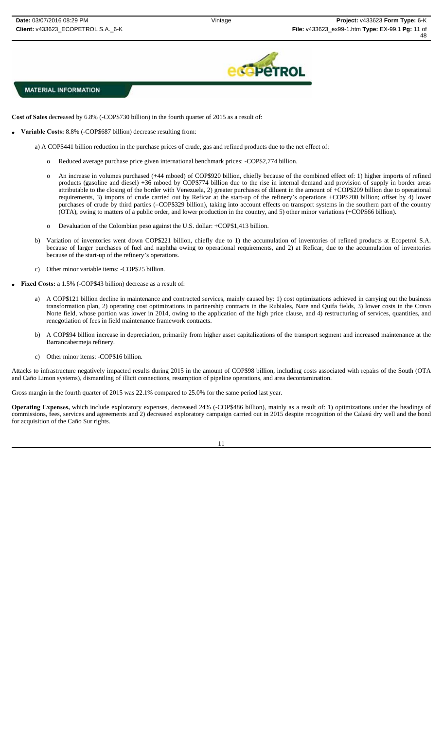

**Cost of Sales** decreased by 6.8% (-COP\$730 billion) in the fourth quarter of 2015 as a result of:

- **Variable Costs:** 8.8% (-COP\$687 billion) decrease resulting from:
	- a) A COP\$441 billion reduction in the purchase prices of crude, gas and refined products due to the net effect of:
		- o Reduced average purchase price given international benchmark prices: -COP\$2,774 billion.
		- o An increase in volumes purchased (+44 mboed) of COP\$920 billion, chiefly because of the combined effect of: 1) higher imports of refined products (gasoline and diesel) +36 mboed by COP\$774 billion due to the rise in internal demand and provision of supply in border areas attributable to the closing of the border with Venezuela, 2) greater purchases of diluent in the amount of +COP\$209 billion due to operational requirements, 3) imports of crude carried out by Reficar at the start-up of the refinery's operations +COP\$200 billion; offset by 4) lower purchases of crude by third parties (–COP\$329 billion), taking into account effects on transport systems in the southern part of the country (OTA), owing to matters of a public order, and lower production in the country, and 5) other minor variations (+COP\$66 billion).
		- o Devaluation of the Colombian peso against the U.S. dollar: +COP\$1,413 billion.
	- b) Variation of inventories went down COP\$221 billion, chiefly due to 1) the accumulation of inventories of refined products at Ecopetrol S.A. because of larger purchases of fuel and naphtha owing to operational requirements, and 2) at Reficar, due to the accumulation of inventories because of the start-up of the refinery's operations.
	- c) Other minor variable items: -COP\$25 billion.
- **Fixed Costs:** a 1.5% (-COP\$43 billion) decrease as a result of:
	- a) A COP\$121 billion decline in maintenance and contracted services, mainly caused by: 1) cost optimizations achieved in carrying out the business transformation plan, 2) operating cost optimizations in partnership contracts in the Rubiales, Nare and Quifa fields, 3) lower costs in the Cravo Norte field, whose portion was lower in 2014, owing to the application of the high price clause, and 4) restructuring of services, quantities, and renegotiation of fees in field maintenance framework contracts.
	- b) A COP\$94 billion increase in depreciation, primarily from higher asset capitalizations of the transport segment and increased maintenance at the Barrancabermeja refinery.
	- c) Other minor items: -COP\$16 billion.

Attacks to infrastructure negatively impacted results during 2015 in the amount of COP\$98 billion, including costs associated with repairs of the South (OTA and Caño Limon systems), dismantling of illicit connections, resumption of pipeline operations, and area decontamination.

Gross margin in the fourth quarter of 2015 was 22.1% compared to 25.0% for the same period last year.

**Operating Expenses,** which include exploratory expenses, decreased 24% (-COP\$486 billion), mainly as a result of: 1) optimizations under the headings of commissions, fees, services and agreements and 2) decreased exploratory campaign carried out in 2015 despite recognition of the Calasú dry well and the bond for acquisition of the Caño Sur rights.

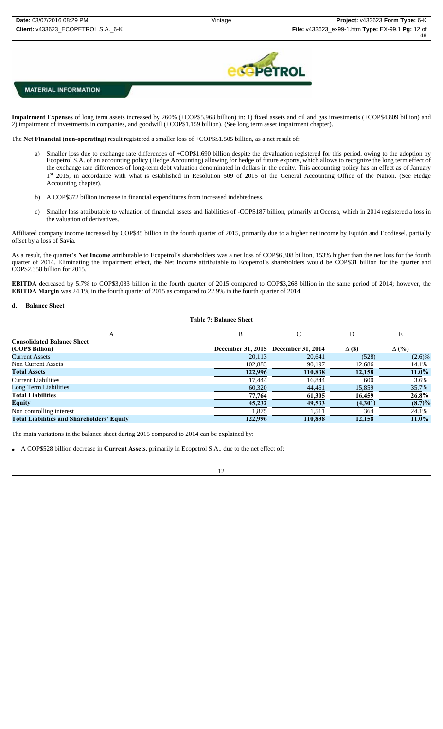

**Impairment Expenses** of long term assets increased by 260% (+COP\$5,968 billion) in: 1) fixed assets and oil and gas investments (+COP\$4,809 billion) and 2) impairment of investments in companies, and goodwill (+COP\$1,159 billion). (See long term asset impairment chapter).

The **Net Financial (non-operating)** result registered a smaller loss of +COPS\$1.505 billion, as a net result of:

- Smaller loss due to exchange rate differences of +COP\$1.690 billion despite the devaluation registered for this period, owing to the adoption by Ecopetrol S.A. of an accounting policy (Hedge Accounting) allowing for hedge of future exports, which allows to recognize the long term effect of the exchange rate differences of long-term debt valuation denominated in dollars in the equity. This accounting policy has an effect as of January 1st 2015, in accordance with what is established in Resolution 509 of 2015 of the General Accounting Office of the Nation. (See Hedge Accounting chapter).
- b) A COP\$372 billion increase in financial expenditures from increased indebtedness.
- c) Smaller loss attributable to valuation of financial assets and liabilities of -COP\$187 billion, primarily at Ocensa, which in 2014 registered a loss in the valuation of derivatives.

Affiliated company income increased by COP\$45 billion in the fourth quarter of 2015, primarily due to a higher net income by Equión and Ecodiesel, partially offset by a loss of Savia.

As a result, the quarter's **Net Income** attributable to Ecopetrol´s shareholders was a net loss of COP\$6,308 billion, 153% higher than the net loss for the fourth quarter of 2014. Eliminating the impairment effect, the Net Income attributable to Ecopetrol´s shareholders would be COP\$31 billion for the quarter and COP\$2,358 billion for 2015.

**EBITDA** decreased by 5.7% to COP\$3,083 billion in the fourth quarter of 2015 compared to COP\$3,268 billion in the same period of 2014; however, the **EBITDA Margin** was 24.1% in the fourth quarter of 2015 as compared to 22.9% in the fourth quarter of 2014.

#### **d. Balance Sheet**

#### **Table 7: Balance Sheet**

| А                                                 | B       |                                     |               | E            |
|---------------------------------------------------|---------|-------------------------------------|---------------|--------------|
| <b>Consolidated Balance Sheet</b>                 |         |                                     |               |              |
| (COP\$ Billion)                                   |         | December 31, 2015 December 31, 2014 | $\Delta$ (\$) | $\Delta$ (%) |
| <b>Current Assets</b>                             | 20,113  | 20,641                              | (528)         | $(2.6)\%$    |
| Non Current Assets                                | 102,883 | 90,197                              | 12,686        | 14.1%        |
| <b>Total Assets</b>                               | 122,996 | 110,838                             | 12,158        | $11.0\%$     |
| <b>Current Liabilities</b>                        | 17.444  | 16.844                              | 600           | 3.6%         |
| Long Term Liabilities                             | 60,320  | 44,461                              | 15,859        | 35.7%        |
| <b>Total Liabilities</b>                          | 77,764  | 61,305                              | 16,459        | 26.8%        |
| Equity                                            | 45,232  | 49,533                              | (4,301)       | $(8.7)\%$    |
| Non controlling interest                          | 1.875   | 1,511                               | 364           | 24.1%        |
| <b>Total Liabilities and Shareholders' Equity</b> | 122.996 | 110.838                             | 12,158        | $11.0\%$     |

The main variations in the balance sheet during 2015 compared to 2014 can be explained by:

A COP\$528 billion decrease in **Current Assets**, primarily in Ecopetrol S.A., due to the net effect of: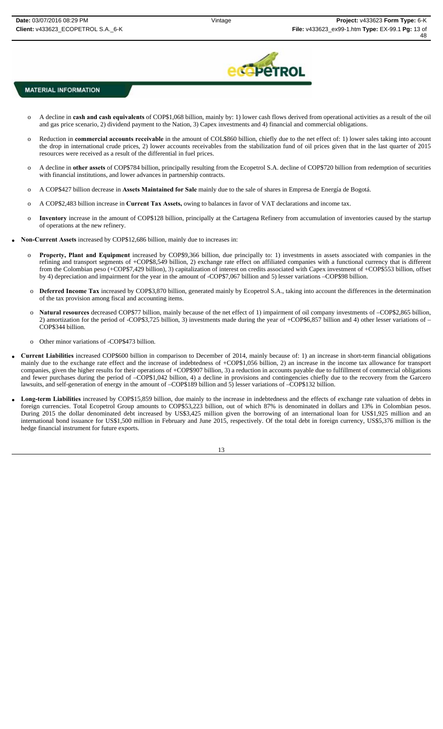

- o A decline in **cash and cash equivalents** of COP\$1,068 billion, mainly by: 1) lower cash flows derived from operational activities as a result of the oil and gas price scenario, 2) dividend payment to the Nation, 3) Capex investments and 4) financial and commercial obligations.
- o Reduction in **commercial accounts receivable** in the amount of COL\$860 billion, chiefly due to the net effect of: 1) lower sales taking into account the drop in international crude prices, 2) lower accounts receivables from the stabilization fund of oil prices given that in the last quarter of 2015 resources were received as a result of the differential in fuel prices.
- o A decline in **other assets** of COP\$784 billion, principally resulting from the Ecopetrol S.A. decline of COP\$720 billion from redemption of securities with financial institutions, and lower advances in partnership contracts.
- o A COP\$427 billion decrease in **Assets Maintained for Sale** mainly due to the sale of shares in Empresa de Energía de Bogotá.
- o A COP\$2,483 billion increase in **Current Tax Assets,** owing to balances in favor of VAT declarations and income tax.
- Inventory increase in the amount of COP\$128 billion, principally at the Cartagena Refinery from accumulation of inventories caused by the startup of operations at the new refinery.
- **Non-Current Assets** increased by COP\$12,686 billion, mainly due to increases in:
	- o **Property, Plant and Equipment** increased by COP\$9,366 billion, due principally to: 1) investments in assets associated with companies in the refining and transport segments of +COP\$8,549 billion, 2) exchange rate effect on affiliated companies with a functional currency that is different from the Colombian peso (+COP\$7,429 billion), 3) capitalization of interest on credits associated with Capex investment of +COP\$553 billion, offset by 4) depreciation and impairment for the year in the amount of -COP\$7,067 billion and 5) lesser variations –COP\$98 billion.
	- o **Deferred Income Tax** increased by COP\$3,870 billion, generated mainly by Ecopetrol S.A., taking into account the differences in the determination of the tax provision among fiscal and accounting items.
	- Natural resources decreased COP\$77 billion, mainly because of the net effect of 1) impairment of oil company investments of -COP\$2,865 billion, 2) amortization for the period of -COP\$3,725 billion, 3) investments made during the year of +COP\$6,857 billion and 4) other lesser variations of – COP\$344 billion.
	- o Other minor variations of -COP\$473 billion.
- **Current Liabilities** increased COP\$600 billion in comparison to December of 2014, mainly because of: 1) an increase in short-term financial obligations mainly due to the exchange rate effect and the increase of indebtedness of +COP\$1,056 billion, 2) an increase in the income tax allowance for transport companies, given the higher results for their operations of +COP\$907 billion, 3) a reduction in accounts payable due to fulfillment of commercial obligations and fewer purchases during the period of –COP\$1,042 billion, 4) a decline in provisions and contingencies chiefly due to the recovery from the Garcero lawsuits, and self-generation of energy in the amount of –COP\$189 billion and 5) lesser variations of –COP\$132 billion.
- Long-term Liabilities increased by COP\$15,859 billion, due mainly to the increase in indebtedness and the effects of exchange rate valuation of debts in foreign currencies. Total Ecopetrol Group amounts to COP\$53,223 billion, out of which 87% is denominated in dollars and 13% in Colombian pesos. During 2015 the dollar denominated debt increased by US\$3,425 million given the borrowing of an international loan for US\$1,925 million and an international bond issuance for US\$1,500 million in February and June 2015, respectively. Of the total debt in foreign currency, US\$5,376 million is the hedge financial instrument for future exports.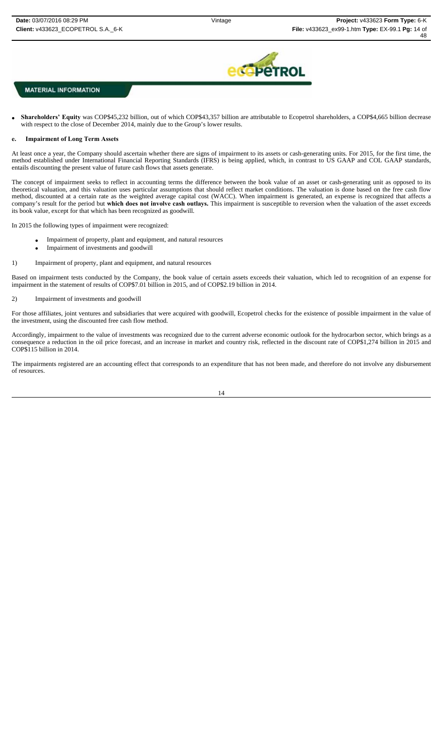

 **Shareholders' Equity** was COP\$45,232 billion, out of which COP\$43,357 billion are attributable to Ecopetrol shareholders, a COP\$4,665 billion decrease with respect to the close of December 2014, mainly due to the Group's lower results.

### **e. Impairment of Long Term Assets**

At least once a year, the Company should ascertain whether there are signs of impairment to its assets or cash-generating units. For 2015, for the first time, the method established under International Financial Reporting Standards (IFRS) is being applied, which, in contrast to US GAAP and COL GAAP standards, entails discounting the present value of future cash flows that assets generate.

The concept of impairment seeks to reflect in accounting terms the difference between the book value of an asset or cash-generating unit as opposed to its theoretical valuation, and this valuation uses particular assumptions that should reflect market conditions. The valuation is done based on the free cash flow method, discounted at a certain rate as the weighted average capital cost (WACC). When impairment is generated, an expense is recognized that affects a company's result for the period but **which does not involve cash outlays.** This impairment is susceptible to reversion when the valuation of the asset exceeds its book value, except for that which has been recognized as goodwill.

In 2015 the following types of impairment were recognized:

- Impairment of property, plant and equipment, and natural resources
- Impairment of investments and goodwill
- 1) Impairment of property, plant and equipment, and natural resources

Based on impairment tests conducted by the Company, the book value of certain assets exceeds their valuation, which led to recognition of an expense for impairment in the statement of results of COP\$7.01 billion in 2015, and of COP\$2.19 billion in 2014.

#### 2) Impairment of investments and goodwill

For those affiliates, joint ventures and subsidiaries that were acquired with goodwill, Ecopetrol checks for the existence of possible impairment in the value of the investment, using the discounted free cash flow method.

Accordingly, impairment to the value of investments was recognized due to the current adverse economic outlook for the hydrocarbon sector, which brings as a consequence a reduction in the oil price forecast, and an increase in market and country risk, reflected in the discount rate of COP\$1,274 billion in 2015 and COP\$115 billion in 2014.

The impairments registered are an accounting effect that corresponds to an expenditure that has not been made, and therefore do not involve any disbursement of resources.

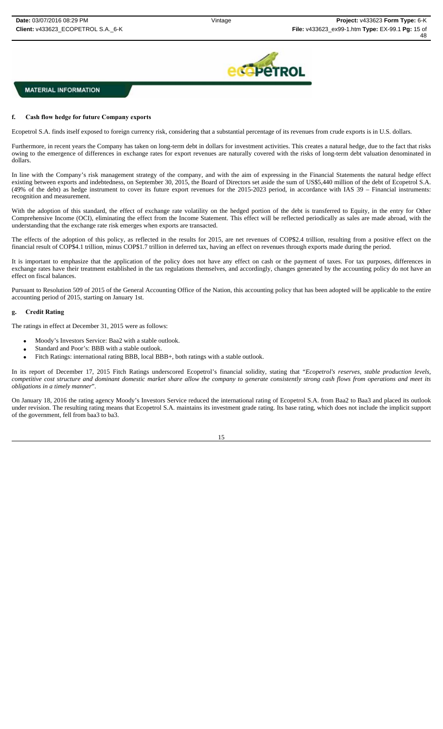

#### **f. Cash flow hedge for future Company exports**

Ecopetrol S.A. finds itself exposed to foreign currency risk, considering that a substantial percentage of its revenues from crude exports is in U.S. dollars.

Furthermore, in recent years the Company has taken on long-term debt in dollars for investment activities. This creates a natural hedge, due to the fact that risks owing to the emergence of differences in exchange rates for export revenues are naturally covered with the risks of long-term debt valuation denominated in dollars.

In line with the Company's risk management strategy of the company, and with the aim of expressing in the Financial Statements the natural hedge effect existing between exports and indebtedness, on September 30, 2015, the Board of Directors set aside the sum of US\$5,440 million of the debt of Ecopetrol S.A. (49% of the debt) as hedge instrument to cover its future export revenues for the 2015-2023 period, in accordance with IAS 39 – Financial instruments: recognition and measurement.

With the adoption of this standard, the effect of exchange rate volatility on the hedged portion of the debt is transferred to Equity, in the entry for Other Comprehensive Income (OCI), eliminating the effect from the Income Statement. This effect will be reflected periodically as sales are made abroad, with the understanding that the exchange rate risk emerges when exports are transacted.

The effects of the adoption of this policy, as reflected in the results for 2015, are net revenues of COP\$2.4 trillion, resulting from a positive effect on the financial result of COP\$4.1 trillion, minus COP\$1.7 trillion in deferred tax, having an effect on revenues through exports made during the period.

It is important to emphasize that the application of the policy does not have any effect on cash or the payment of taxes. For tax purposes, differences in exchange rates have their treatment established in the tax regulations themselves, and accordingly, changes generated by the accounting policy do not have an effect on fiscal balances.

Pursuant to Resolution 509 of 2015 of the General Accounting Office of the Nation, this accounting policy that has been adopted will be applicable to the entire accounting period of 2015, starting on January 1st.

#### **g. Credit Rating**

The ratings in effect at December 31, 2015 were as follows:

- Moody's Investors Service: Baa2 with a stable outlook.
- Standard and Poor's: BBB with a stable outlook.
- Fitch Ratings: international rating BBB, local BBB+, both ratings with a stable outlook.

In its report of December 17, 2015 Fitch Ratings underscored Ecopetrol's financial solidity, stating that "*Ecopetrol's reserves, stable production levels, competitive cost structure and dominant domestic market share allow the company to generate consistently strong cash flows from operations and meet its obligations in a timely manner*".

On January 18, 2016 the rating agency Moody's Investors Service reduced the international rating of Ecopetrol S.A. from Baa2 to Baa3 and placed its outlook under revision. The resulting rating means that Ecopetrol S.A. maintains its investment grade rating. Its base rating, which does not include the implicit support of the government, fell from baa3 to ba3.

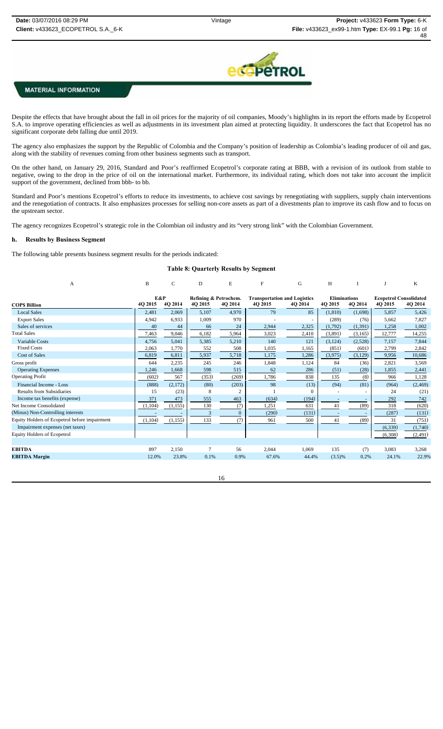

Despite the effects that have brought about the fall in oil prices for the majority of oil companies, Moody's highlights in its report the efforts made by Ecopetrol S.A. to improve operating efficiencies as well as adjustments in its investment plan aimed at protecting liquidity. It underscores the fact that Ecopetrol has no significant corporate debt falling due until 2019.

The agency also emphasizes the support by the Republic of Colombia and the Company's position of leadership as Colombia's leading producer of oil and gas, along with the stability of revenues coming from other business segments such as transport.

On the other hand, on January 29, 2016, Standard and Poor's reaffirmed Ecopetrol's corporate rating at BBB, with a revision of its outlook from stable to negative, owing to the drop in the price of oil on the international market. Furthermore, its individual rating, which does not take into account the implicit support of the government, declined from bbb- to bb.

Standard and Poor's mentions Ecopetrol's efforts to reduce its investments, to achieve cost savings by renegotiating with suppliers, supply chain interventions and the renegotiation of contracts. It also emphasizes processes for selling non-core assets as part of a divestments plan to improve its cash flow and to focus on the upstream sector.

The agency recognizes Ecopetrol's strategic role in the Colombian oil industry and its "very strong link" with the Colombian Government.

#### **h. Results by Business Segment**

The following table presents business segment results for the periods indicated:

#### **Table 8: Quarterly Results by Segment**

| A                                             | B              | C        | D                                | E              | F                                              | G        | H                              |         |                                          | K        |
|-----------------------------------------------|----------------|----------|----------------------------------|----------------|------------------------------------------------|----------|--------------------------------|---------|------------------------------------------|----------|
| <b>COPS Billion</b>                           | E&P<br>4Q 2015 | 4O 2014  | Refining & Petrochem.<br>4Q 2015 | 4Q 2014        | <b>Transportation and Logistics</b><br>4O 2015 | 4O 2014  | <b>Eliminations</b><br>4Q 2015 | 4Q 2014 | <b>Ecopetrol Consolidated</b><br>4Q 2015 | 4Q 2014  |
| <b>Local Sales</b>                            | 2,481          | 2,069    | 5,107                            | 4,970          | 79                                             | 85       | (1.810)                        | (1,698) | 5,857                                    | 5,426    |
| <b>Export Sales</b>                           | 4,942          | 6.933    | 1,009                            | 970            |                                                |          | (289)                          | (76)    | 5,662                                    | 7,827    |
| Sales of services                             | 40             | 44       | 66                               | 24             | 2,944                                          | 2,325    | (1,792)                        | (1,391) | 1,258                                    | 1,002    |
| <b>Total Sales</b>                            | 7,463          | 9,046    | 6,182                            | 5,964          | 3,023                                          | 2,410    | (3,891)                        | (3,165) | 12,777                                   | 14,255   |
| <b>Variable Costs</b>                         | 4,756          | 5,041    | 5,385                            | 5,210          | 140                                            | 121      | (3, 124)                       | (2,528) | 7,157                                    | 7,844    |
| <b>Fixed Costs</b>                            | 2,063          | 1,770    | 552                              | 508            | 1,035                                          | 1,165    | (851)                          | (601)   | 2,799                                    | 2,842    |
| <b>Cost of Sales</b>                          | 6,819          | 6,811    | 5,937                            | 5,718          | 1,175                                          | 1,286    | (3,975)                        | (3,129) | 9,956                                    | 10,686   |
| Gross profit                                  | 644            | 2,235    | 245                              | 246            | 1.848                                          | 1,124    | 84                             | (36)    | 2,821                                    | 3,569    |
| <b>Operating Expenses</b>                     | 1,246          | 1,668    | 598                              | 515            | 62                                             | 286      | (51)                           | (28)    | 1,855                                    | 2,441    |
| <b>Operating Profit</b>                       | (602)          | 567      | (353)                            | (269)          | 1,786                                          | 838      | 135                            | (8)     | 966                                      | 1,128    |
| Financial Income - Loss                       | (888)          | (2,172)  | (80)                             | (203)          | 98                                             | (13)     | (94)                           | (81)    | (964)                                    | (2, 469) |
| <b>Results from Subsidiaries</b>              | 15             | (23)     | 8                                | $\overline{c}$ |                                                | $\Omega$ |                                |         | 24                                       | (21)     |
| Income tax benefits (expense)                 | 371            | 473      | 555                              | 463            | (634)                                          | (194)    |                                |         | 292                                      | 742      |
| Net Income Consolidated                       | (1, 104)       | (1, 155) | 130                              | (7)            | 1,251                                          | 631      | 41                             | (89)    | 318                                      | (620)    |
| (Minus) Non-Controlling interests             |                |          | 3                                | $\Omega$       | (290)                                          | (131)    |                                |         | (287)                                    | (131)    |
| Equity Holders of Ecopetrol before impairment | (1,104)        | (1, 155) | 133                              | (7)            | 961                                            | 500      | 41                             | (89)    | 31                                       | (751)    |
| Impairment expenses (net taxes)               |                |          |                                  |                |                                                |          |                                |         | (6, 339)                                 | (1,740)  |
| <b>Equity Holders of Ecopetrol</b>            |                |          |                                  |                |                                                |          |                                |         | (6,308)                                  | (2, 491) |
|                                               |                |          |                                  |                |                                                |          |                                |         |                                          |          |
| <b>EBITDA</b>                                 | 897            | 2,150    |                                  | 56             | 2,044                                          | 1,069    | 135                            | (7)     | 3,083                                    | 3,268    |
| <b>EBITDA</b> Margin                          | 12.0%          | 23.8%    | 0.1%                             | 0.9%           | 67.6%                                          | 44.4%    | $(3.5)\%$                      | 0.2%    | 24.1%                                    | 22.9%    |
|                                               |                |          |                                  |                |                                                |          |                                |         |                                          |          |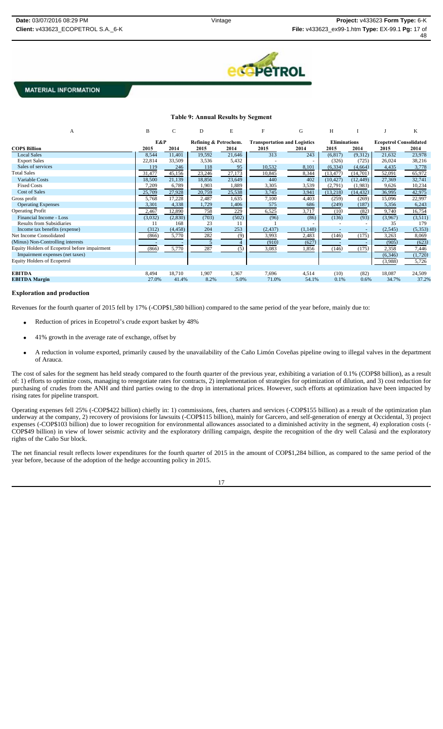

#### **Table 9: Annual Results by Segment** A B C D E F G H I J K **E&P** Refining & Petrochem. Transportation and Logistics Eliminations<br>2014 2015 2014 2015 2014 2015 2014 2015 2014 **COP\$ Billion**<br> **COP\$ Billion**<br> **COP\$ Billion**<br> **2015 2015 2014 2015 2014 2015 2014 2015 2014 2015 2014 2015 2014 2015 2014 2015 2014 2015 2014 2015 2014 2015 2014 2015 2014** Local Sales 8,544 11,401 19,592 21,646 313 243 (6,817) (9,312 21,632 23,978 Export Sales 22,814 33,509 3,536 5,432 - - - (326) (725) 26,024 38,216 Sales of services 119 119 246 118 95 10,532 8,101 (6,334) (4,664) 4,435 3,778 Total Sales 31,477 45,156 23,246 27,173 10,845 8,344 (13,477) (14,701) 52,091 65,972 Variable Costs 18,500 21,139 18,856 23,649 440 402 (10,427) (12,449) 27,369 32,741 Fixed Costs 7,209 6,789 1,903 1,889 3,305 3,539 (2,791) (1,983) 9,626 10,234 Cost of Sales 25,709 27,928 20,759 25,538 3,745 3,941 (13,218) (14,432) 36,995 42,975 Gross profit 6 6 1 22,997 1,5768 17,228 2,487 1,635 7,100 4,403 (259) (269) 15,096 22,997 Operating Expenses 3,301 4,338 1,729 1,406 575 686 (249) (187) 5,356 6,243 Operating Profit 2,467 12,890 758 229 6,525 3,717 (10) (82) 9,740 16,754 Financial Income - Loss (3,511) (3,032) (2,830) (703) (502) (96) (86) (86) (136) (93) (3,967) (3,511) Results from Subsidiaries 11 168 23 11 1<br>
Income tax benefits (expense) (312) (4,458) 204 253 (2,437) (1,148) - - (2,545) (5,353) Income tax benefits (expense) Net Income Consolidated (866)  $\frac{1}{5,770}$   $\frac{1}{282}$  (9)  $\frac{3,993}{3,993}$   $\frac{1}{2,483}$   $\frac{1}{(146)}$   $\frac{1}{(175)}$   $\frac{3,263}{3,263}$  8,069 (Minus) Non-Controlling interests - - 5 4 (910) (627) - - (905) (623) Equity Holders of Ecopetrol before impairment (866)  $\overline{5,770}$   $\overline{287}$   $\overline{5,70}$   $\overline{5,770}$   $\overline{5,770}$   $\overline{5,770}$   $\overline{5,770}$   $\overline{5,770}$   $\overline{5,770}$   $\overline{5,770}$   $\overline{5,770}$   $\overline{5,770}$   $\overline{5,770}$   $\over$ Impairment expenses (net taxes) (6,346) (1,720) Equity Holders of Ecopetrol  $\overline{3,988}$   $\overline{5,726}$ **EBITDA** 8,494 18,710 1,907 1,367 7,696 4,514 (10) (82) 18,087 24,509 **EBITDA Margin** 27.0% 41.4% 8.2% 5.0% 71.0% 54.1% 0.1% 0.6% 34.7% 37.2%

#### **Exploration and production**

Revenues for the fourth quarter of 2015 fell by 17% (-COP\$1,580 billion) compared to the same period of the year before, mainly due to:

- Reduction of prices in Ecopetrol's crude export basket by 48%
- 41% growth in the average rate of exchange, offset by
- A reduction in volume exported, primarily caused by the unavailability of the Caño Limón Coveñas pipeline owing to illegal valves in the department of Arauca.

The cost of sales for the segment has held steady compared to the fourth quarter of the previous year, exhibiting a variation of 0.1% (COP\$8 billion), as a result of: 1) efforts to optimize costs, managing to renegotiate rates for contracts, 2) implementation of strategies for optimization of dilution, and 3) cost reduction for purchasing of crudes from the ANH and third parties owing to the drop in international prices. However, such efforts at optimization have been impacted by rising rates for pipeline transport.

Operating expenses fell 25% (-COP\$422 billion) chiefly in: 1) commissions, fees, charters and services (-COP\$155 billion) as a result of the optimization plan underway at the company, 2) recovery of provisions for lawsuits (-COP\$115 billion), mainly for Garcero, and self-generation of energy at Occidental, 3) project expenses (-COP\$103 billion) due to lower recognition for environmental allowances associated to a diminished activity in the segment, 4) exploration costs (- COP\$49 billion) in view of lower seismic activity and the exploratory drilling campaign, despite the recognition of the dry well Calasú and the exploratory rights of the Caño Sur block.

The net financial result reflects lower expenditures for the fourth quarter of 2015 in the amount of COP\$1,284 billion, as compared to the same period of the year before, because of the adoption of the hedge accounting policy in 2015.

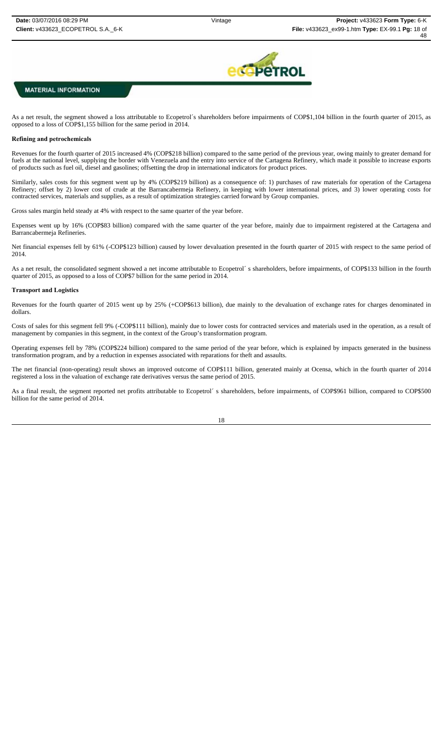

As a net result, the segment showed a loss attributable to Ecopetrol´s shareholders before impairments of COP\$1,104 billion in the fourth quarter of 2015, as opposed to a loss of COP\$1,155 billion for the same period in 2014.

### **Refining and petrochemicals**

Revenues for the fourth quarter of 2015 increased 4% (COP\$218 billion) compared to the same period of the previous year, owing mainly to greater demand for fuels at the national level, supplying the border with Venezuela and the entry into service of the Cartagena Refinery, which made it possible to increase exports of products such as fuel oil, diesel and gasolines; offsetting the drop in international indicators for product prices.

Similarly, sales costs for this segment went up by 4% (COP\$219 billion) as a consequence of: 1) purchases of raw materials for operation of the Cartagena Refinery; offset by 2) lower cost of crude at the Barrancabermeja Refinery, in keeping with lower international prices, and 3) lower operating costs for contracted services, materials and supplies, as a result of optimization strategies carried forward by Group companies.

Gross sales margin held steady at 4% with respect to the same quarter of the year before.

Expenses went up by 16% (COP\$83 billion) compared with the same quarter of the year before, mainly due to impairment registered at the Cartagena and Barrancabermeja Refineries.

Net financial expenses fell by 61% (-COP\$123 billion) caused by lower devaluation presented in the fourth quarter of 2015 with respect to the same period of 2014.

As a net result, the consolidated segment showed a net income attributable to Ecopetrol's shareholders, before impairments, of COP\$133 billion in the fourth quarter of 2015, as opposed to a loss of COP\$7 billion for the same period in 2014.

#### **Transport and Logistics**

Revenues for the fourth quarter of 2015 went up by 25% (+COP\$613 billion), due mainly to the devaluation of exchange rates for charges denominated in dollars.

Costs of sales for this segment fell 9% (-COP\$111 billion), mainly due to lower costs for contracted services and materials used in the operation, as a result of management by companies in this segment, in the context of the Group's transformation program.

Operating expenses fell by 78% (COP\$224 billion) compared to the same period of the year before, which is explained by impacts generated in the business transformation program, and by a reduction in expenses associated with reparations for theft and assaults.

The net financial (non-operating) result shows an improved outcome of COP\$111 billion, generated mainly at Ocensa, which in the fourth quarter of 2014 registered a loss in the valuation of exchange rate derivatives versus the same period of 2015.

As a final result, the segment reported net profits attributable to Ecopetrol´s shareholders, before impairments, of COP\$961 billion, compared to COP\$500 billion for the same period of 2014.

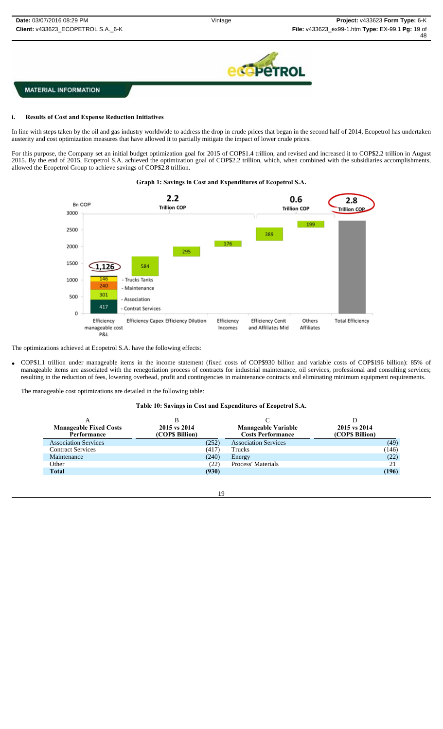

### **i. Results of Cost and Expense Reduction Initiatives**

In line with steps taken by the oil and gas industry worldwide to address the drop in crude prices that began in the second half of 2014, Ecopetrol has undertaken austerity and cost optimization measures that have allowed it to partially mitigate the impact of lower crude prices.

For this purpose, the Company set an initial budget optimization goal for 2015 of COP\$1.4 trillion, and revised and increased it to COP\$2.2 trillion in August 2015. By the end of 2015, Ecopetrol S.A. achieved the optimization goal of COP\$2.2 trillion, which, when combined with the subsidiaries accomplishments, allowed the Ecopetrol Group to achieve savings of COP\$2.8 trillion.

# **Graph 1: Savings in Cost and Expenditures of Ecopetrol S.A.**



The optimizations achieved at Ecopetrol S.A. have the following effects:

 COP\$1.1 trillion under manageable items in the income statement (fixed costs of COP\$930 billion and variable costs of COP\$196 billion): 85% of manageable items are associated with the renegotiation process of contracts for industrial maintenance, oil services, professional and consulting services; resulting in the reduction of fees, lowering overhead, profit and contingencies in maintenance contracts and eliminating minimum equipment requirements.

The manageable cost optimizations are detailed in the following table:

#### **Table 10: Savings in Cost and Expenditures of Ecopetrol S.A.**

| <b>Manageable Fixed Costs</b><br>Performance | 2015 vs 2014<br>(COP\$ Billion) | <b>Manageable Variable</b><br><b>Costs Performance</b> | 2015 vs 2014<br>(COPS Billion) |
|----------------------------------------------|---------------------------------|--------------------------------------------------------|--------------------------------|
| <b>Association Services</b>                  | (252)                           | <b>Association Services</b>                            | (49)                           |
| <b>Contract Services</b>                     | (417)                           | Trucks                                                 | (146)                          |
| Maintenance                                  | (240)                           | Energy                                                 | (22)                           |
| Other                                        | (22)                            | Process' Materials                                     | 21                             |
| <b>Total</b>                                 | (930)                           |                                                        | (196)                          |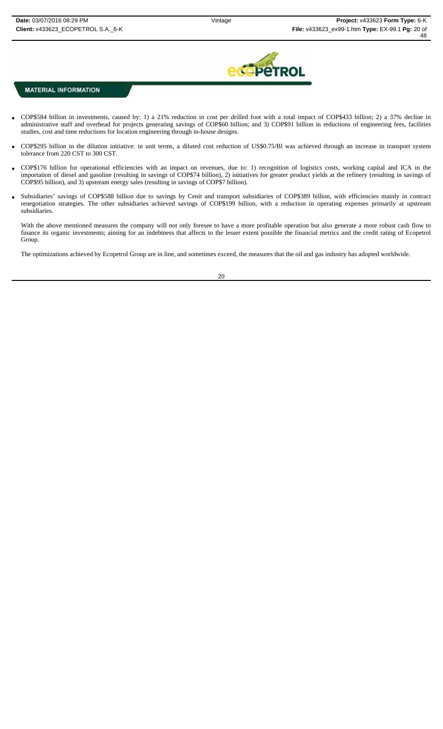

- COP\$584 billion in investments, caused by: 1) a 21% reduction in cost per drilled foot with a total impact of COP\$433 billion; 2) a 37% decline in administrative staff and overhead for projects generating savings of COP\$60 billion; and 3) COP\$91 billion in reductions of engineering fees, facilities studies, cost and time reductions for location engineering through in-house designs.
- COP\$295 billion in the dilution initiative: in unit terms, a diluted cost reduction of US\$0.75/Bl was achieved through an increase in transport system tolerance from 220 CST to 300 CST.
- COP\$176 billion for operational efficiencies with an impact on revenues, due to: 1) recognition of logistics costs, working capital and ICA in the importation of diesel and gasoline (resulting in savings of COP\$74 billion), 2) initiatives for greater product yields at the refinery (resulting in savings of COP\$95 billion), and 3) upstream energy sales (resulting in savings of COP\$7 billion).
- Subsidiaries' savings of COP\$588 billion due to savings by Cenit and transport subsidiaries of COP\$389 billion, with efficiencies mainly in contract renegotiation strategies. The other subsidiaries achieved savings of COP\$199 billion, with a reduction in operating expenses primarily at upstream subsidiaries.

With the above mentioned measures the company will not only foresee to have a more profitable operation but also generate a more robust cash flow to finance its organic investments; aiming for an indebtness that affects to the lesser extent possible the financial metrics and the credit rating of Ecopetrol Group.

The optimizations achieved by Ecopetrol Group are in line, and sometimes exceed, the measures that the oil and gas industry has adopted worldwide.

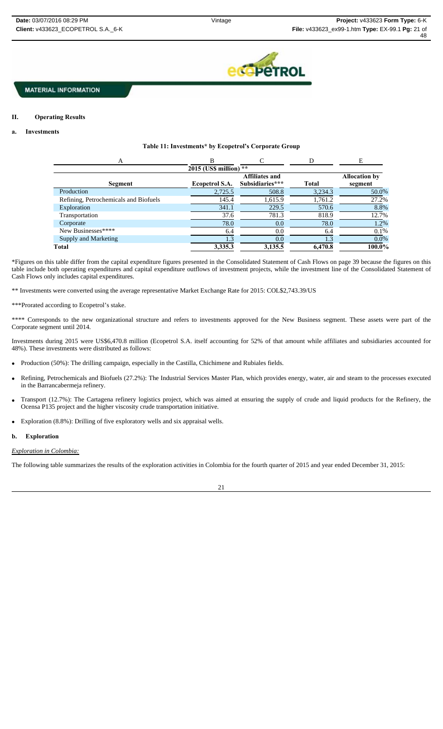

# **a. Investments**

**II. Operating Results**

#### **Table 11: Investments\* by Ecopetrol's Corporate Group**

| A                                     |                          |                                          |              | Е                               |
|---------------------------------------|--------------------------|------------------------------------------|--------------|---------------------------------|
|                                       | $2015$ (US\$ million) ** |                                          |              |                                 |
| Segment                               | Ecopetrol S.A.           | <b>Affiliates and</b><br>Subsidiaries*** | <b>Total</b> | <b>Allocation by</b><br>segment |
| Production                            | 2,725.5                  | 508.8                                    | 3,234.3      | 50.0%                           |
| Refining, Petrochemicals and Biofuels | 145.4                    | 1,615.9                                  | 1,761.2      | 27.2%                           |
| Exploration                           | 341.1                    | 229.5                                    | 570.6        | 8.8%                            |
| Transportation                        | 37.6                     | 781.3                                    | 818.9        | 12.7%                           |
| Corporate                             | 78.0                     | 0.0                                      | 78.0         | 1.2%                            |
| New Businesses****                    | 6.4                      | 0.0                                      | 6.4          | 0.1%                            |
| Supply and Marketing                  | 1.3                      | 0.0                                      | 1.3          | $0.0\%$                         |
| Total                                 | 3,335.3                  | 3,135.5                                  | 6,470.8      | 100.0%                          |

\*Figures on this table differ from the capital expenditure figures presented in the Consolidated Statement of Cash Flows on page 39 because the figures on this table include both operating expenditures and capital expenditure outflows of investment projects, while the investment line of the Consolidated Statement of Cash Flows only includes capital expenditures.

\*\* Investments were converted using the average representative Market Exchange Rate for 2015: COL\$2,743.39/US

\*\*\*Prorated according to Ecopetrol's stake.

\*\*\*\* Corresponds to the new organizational structure and refers to investments approved for the New Business segment. These assets were part of the Corporate segment until 2014.

Investments during 2015 were US\$6,470.8 million (Ecopetrol S.A. itself accounting for 52% of that amount while affiliates and subsidiaries accounted for 48%). These investments were distributed as follows:

- Production (50%): The drilling campaign, especially in the Castilla, Chichimene and Rubiales fields.
- Refining, Petrochemicals and Biofuels (27.2%): The Industrial Services Master Plan, which provides energy, water, air and steam to the processes executed in the Barrancabermeja refinery.
- Transport (12.7%): The Cartagena refinery logistics project, which was aimed at ensuring the supply of crude and liquid products for the Refinery, the Ocensa P135 project and the higher viscosity crude transportation initiative.
- Exploration (8.8%): Drilling of five exploratory wells and six appraisal wells.

#### **b. Exploration**

*Exploration in Colombia:*

The following table summarizes the results of the exploration activities in Colombia for the fourth quarter of 2015 and year ended December 31, 2015: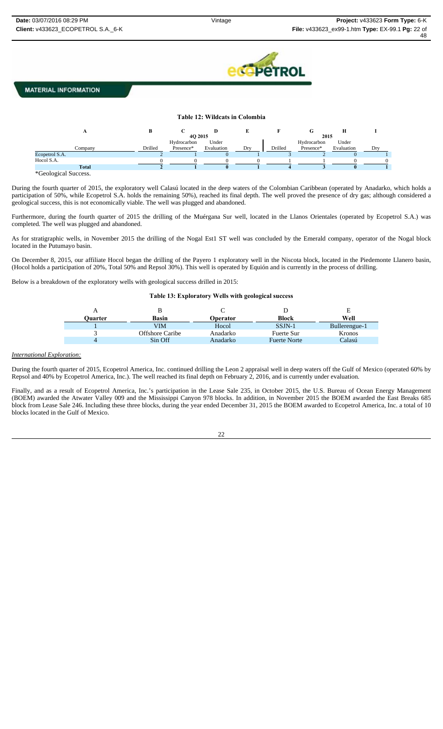

# **Table 12: Wildcats in Colombia**

|                |         |             | υ          |     |         |             |            |     |
|----------------|---------|-------------|------------|-----|---------|-------------|------------|-----|
|                |         | 4Q 2015     |            |     |         | 2015        |            |     |
|                |         | Hydrocarbon | Under      |     |         | Hydrocarbon | Under      |     |
| Company        | Drilled | Presence*   | Evaluation | Dry | Drilled | Presence*   | Evaluation | Drv |
| Ecopetrol S.A. |         |             |            |     |         |             |            |     |
| Hocol S.A.     |         |             |            |     |         |             |            |     |
| <b>Total</b>   |         |             |            |     |         |             |            |     |

\*Geological Success.

During the fourth quarter of 2015, the exploratory well Calasú located in the deep waters of the Colombian Caribbean (operated by Anadarko, which holds a participation of 50%, while Ecopetrol S.A. holds the remaining 50%), reached its final depth. The well proved the presence of dry gas; although considered a geological success, this is not economically viable. The well was plugged and abandoned.

Furthermore, during the fourth quarter of 2015 the drilling of the Muérgana Sur well, located in the Llanos Orientales (operated by Ecopetrol S.A.) was completed. The well was plugged and abandoned.

As for stratigraphic wells, in November 2015 the drilling of the Nogal Est1 ST well was concluded by the Emerald company, operator of the Nogal block located in the Putumayo basin.

On December 8, 2015, our affiliate Hocol began the drilling of the Payero 1 exploratory well in the Niscota block, located in the Piedemonte Llanero basin, (Hocol holds a participation of 20%, Total 50% and Repsol 30%). This well is operated by Equión and is currently in the process of drilling.

Below is a breakdown of the exploratory wells with geological success drilled in 2015:

**Table 13: Exploratory Wells with geological success** 

| Ouarter | Basin           | <b>Operator</b> | Block               | Е<br>Well     |
|---------|-----------------|-----------------|---------------------|---------------|
|         | VIM             | Hocol           | $SSJN-1$            | Bullerengue-1 |
|         | Offshore Caribe | Anadarko        | Fuerte Sur          | <b>Kronos</b> |
|         | Sin Off         | Anadarko        | <b>Fuerte Norte</b> | Calasú        |

#### *International Exploration:*

During the fourth quarter of 2015, Ecopetrol America, Inc. continued drilling the Leon 2 appraisal well in deep waters off the Gulf of Mexico (operated 60% by Repsol and 40% by Ecopetrol America, Inc.). The well reached its final depth on February 2, 2016, and is currently under evaluation.

Finally, and as a result of Ecopetrol America, Inc.'s participation in the Lease Sale 235, in October 2015, the U.S. Bureau of Ocean Energy Management (BOEM) awarded the Atwater Valley 009 and the Mississippi Canyon 978 blocks. In addition, in November 2015 the BOEM awarded the East Breaks 685 block from Lease Sale 246. Including these three blocks, during the year ended December 31, 2015 the BOEM awarded to Ecopetrol America, Inc. a total of 10 blocks located in the Gulf of Mexico.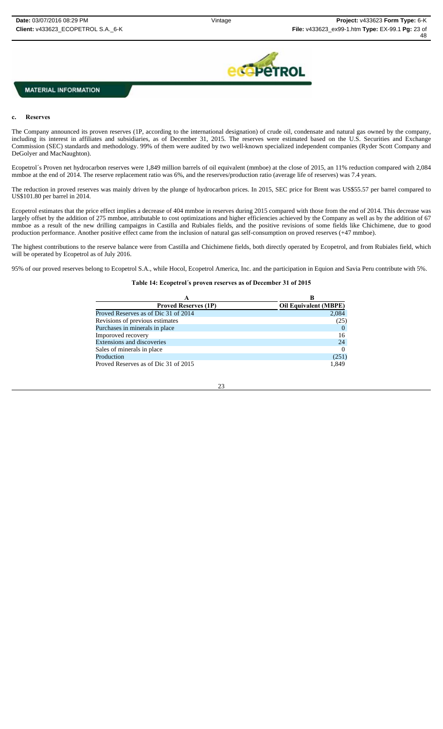

#### **c. Reserves**

The Company announced its proven reserves (1P, according to the international designation) of crude oil, condensate and natural gas owned by the company, including its interest in affiliates and subsidiaries, as of December 31, 2015. The reserves were estimated based on the U.S. Securities and Exchange Commission (SEC) standards and methodology. 99% of them were audited by two well-known specialized independent companies (Ryder Scott Company and DeGolyer and MacNaughton).

Ecopetrol´s Proven net hydrocarbon reserves were 1,849 million barrels of oil equivalent (mmboe) at the close of 2015, an 11% reduction compared with 2,084 mmboe at the end of 2014. The reserve replacement ratio was 6%, and the reserves/production ratio (average life of reserves) was 7.4 years.

The reduction in proved reserves was mainly driven by the plunge of hydrocarbon prices. In 2015, SEC price for Brent was US\$55.57 per barrel compared to US\$101.80 per barrel in 2014.

Ecopetrol estimates that the price effect implies a decrease of 404 mmboe in reserves during 2015 compared with those from the end of 2014. This decrease was largely offset by the addition of 275 mmboe, attributable to cost optimizations and higher efficiencies achieved by the Company as well as by the addition of 67 mmboe as a result of the new drilling campaigns in Castilla and Rubiales fields, and the positive revisions of some fields like Chichimene, due to good production performance. Another positive effect came from the inclusion of natural gas self-consumption on proved reserves (+47 mmboe).

The highest contributions to the reserve balance were from Castilla and Chichimene fields, both directly operated by Ecopetrol, and from Rubiales field, which will be operated by Ecopetrol as of July 2016.

95% of our proved reserves belong to Ecopetrol S.A., while Hocol, Ecopetrol America, Inc. and the participation in Equion and Savia Peru contribute with 5%.

#### **Table 14: Ecopetrol´s proven reserves as of December 31 of 2015**

|                                      | В                            |
|--------------------------------------|------------------------------|
| <b>Proved Reserves (1P)</b>          | <b>Oil Equivalent (MBPE)</b> |
| Proved Reserves as of Dic 31 of 2014 | 2,084                        |
| Revisions of previous estimates      | (25)                         |
| Purchases in minerals in place       |                              |
| Imporoved recovery                   | 16                           |
| Extensions and discoveries           | 24                           |
| Sales of minerals in place           |                              |
| Production                           | (251)                        |
| Proved Reserves as of Dic 31 of 2015 | 1.849                        |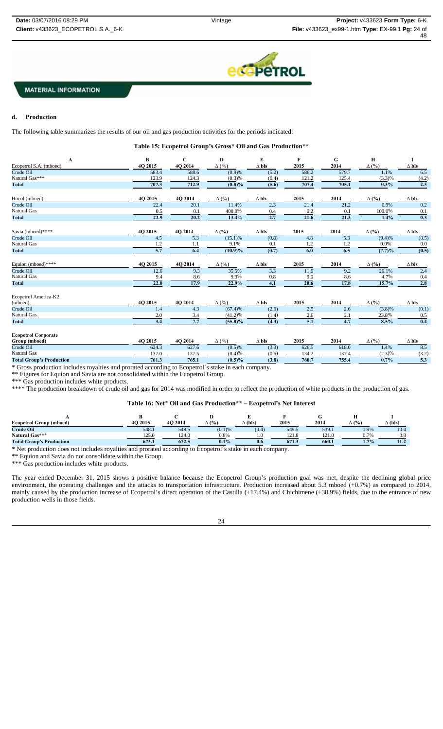

#### **d. Production**

The following table summarizes the results of our oil and gas production activities for the periods indicated:

**Table 15: Ecopetrol Group's Gross\* Oil and Gas Production\*\***

| Ecopetrol S.A. (mboed)<br>Crude Oil<br>Natural Gas***<br><b>Total</b><br>Hocol (mboed) | 4O 2015<br>583.4<br>123.9<br>707.3 | 4O 2014<br>588.6<br>124.3<br>712.9 | $\Delta$ (%)<br>(0.9)%<br>(0.3)% | $\Delta$ bls<br>(5.2) | 2015<br>586.2    | 2014<br>579.7 | $\Delta$ (%) | $\Delta$ bls |
|----------------------------------------------------------------------------------------|------------------------------------|------------------------------------|----------------------------------|-----------------------|------------------|---------------|--------------|--------------|
|                                                                                        |                                    |                                    |                                  |                       |                  |               |              |              |
|                                                                                        |                                    |                                    |                                  |                       |                  |               | 1.1%         | 6.5          |
|                                                                                        |                                    |                                    |                                  | (0.4)                 | 121.2            | 125.4         | (3.3)%       | (4.2)        |
|                                                                                        |                                    |                                    | $(0.8)\%$                        | (5.6)                 | 707.4            | 705.1         | 0.3%         | 2.3          |
|                                                                                        | 4Q 2015                            | 4Q 2014                            | $\Delta$ (%)                     | $\Delta$ bls          | 2015             | 2014          | $\Delta$ (%) | $\Delta$ bls |
| Crude Oil                                                                              | 22.4                               | 20.1                               | 11.4%                            | $\overline{2.3}$      | 21.4             | 21.2          | 0.9%         | 0.2          |
| Natural Gas                                                                            | 0.5                                | 0.1                                | 400.0%                           | 0.4                   | 0.2              | 0.1           | 100.0%       | 0.1          |
| <b>Total</b>                                                                           | 22.9                               | 20.2                               | 13.4%                            | 2.7                   | 21.6             | 21.3          | 1.4%         | 0.3          |
| Savia (mboed)****                                                                      | 4Q 2015                            | 4Q 2014                            | $\Delta$ (%)                     | $\Delta$ bls          | 2015             | 2014          | $\Delta$ (%) | $\Delta$ bls |
| Crude Oil                                                                              | 4.5                                | $\overline{5.3}$                   | $(15.1)\%$                       | (0.8)                 | 4.8              | 5.3           | (9.4)%       | (0.5)        |
| Natural Gas                                                                            | 1.2                                | 1.1                                | 9.1%                             | 0.1                   | 1.2              | 1.2           | $0.0\%$      | 0.0          |
| <b>Total</b>                                                                           | 5.7                                | 6.4                                | $(10.9)\%$                       | (0.7)                 | $\overline{6.0}$ | 6.5           | (7.7)%       | (0.5)        |
| Equion (mboed)****                                                                     | 4Q 2015                            | 4Q 2014                            | $\Delta$ (%)                     | $\Delta$ bls          | 2015             | 2014          | $\Delta$ (%) | $\Delta$ bls |
| Crude Oil                                                                              | 12.6                               | 9.3                                | 35.5%                            | 3.3                   | 11.6             | 9.2           | 26.1%        | 2.4          |
| <b>Natural Gas</b>                                                                     | 9.4                                | 8.6                                | 9.3%                             | 0.8                   | 9.0              | 8.6           | 4.7%         | 0.4          |
| <b>Total</b>                                                                           | 22.0                               | 17.9                               | 22.9%                            | 4.1                   | 20.6             | 17.8          | 15.7%        | 2.8          |
| Ecopetrol America-K2                                                                   |                                    |                                    |                                  |                       |                  |               |              |              |
| (mboed)                                                                                | 4Q 2015                            | 4Q 2014                            | $\Delta$ (%)                     | $\Delta$ bls          | 2015             | 2014          | $\Delta$ (%) | $\Delta$ bls |
| Crude Oil                                                                              | 1.4                                | 4.3                                | (67.4)%                          | (2.9)                 | 2.5              | 2.6           | (3.8)%       | (0.1)        |
| Natural Gas                                                                            | 2.0                                | 3.4                                | (41.2)%                          | (1.4)                 | 2.6              | 2.1           | 23.8%        | 0.5          |
| <b>Total</b>                                                                           | 3.4                                | 7.7                                | $(55.8)\%$                       | (4.3)                 | 5.1              | 4.7           | 8.5%         | 0.4          |
| <b>Ecopetrol Corporate</b><br>Group (mboed)                                            | 4O 2015                            | 4O 2014                            | $\Delta$ (%)                     | $\Delta$ bls          | 2015             | 2014          | $\Delta$ (%) | $\Delta$ bls |

| Grow<br>(mpoea                                       | . .<br><b>ZUIS</b> | ZV 14           | .          | $\Delta$ DIS                      | 2013                 | ZV14   | .                       | $\Delta$ DIS                  |
|------------------------------------------------------|--------------------|-----------------|------------|-----------------------------------|----------------------|--------|-------------------------|-------------------------------|
| Crude Oil                                            | 624.3              | $\sim$<br>027.O | (0.5)%     | <b><i>COLOR</i></b><br>. <u>.</u> | 626.5                | 618.0  | 1.4%                    | $\mathbf{0} \cdot \mathbf{0}$ |
| Natural Gas                                          | 27c<br>.J. U       | .               | $(0, 1)$ 0 | ' V.L                             | 3.2.4<br><b>T.A.</b> | $\sim$ | $\Delta$                | . <u>. .</u>                  |
| <b>Total G</b><br>'s Production<br>$\mathbf{r}$ roun | 761.3              | 765.1           | $(0.5)\%$  | $\sigma$<br>l J.O                 | 760.7                | 755.4  | 70<br>$\sim$ $\sqrt{2}$ | سمعت                          |
| $\sim$ $\sim$                                        |                    |                 |            |                                   |                      |        |                         |                               |

\* Gross production includes royalties and prorated according to Ecopetrol´s stake in each company.

\*\* Figures for Equion and Savia are not consolidated within the Ecopetrol Group.

\*\*\* Gas production includes white products.

\*\*\*\* The production breakdown of crude oil and gas for 2014 was modified in order to reflect the production of white products in the production of gas.

# **Table 16: Net\* Oil and Gas Production\*\* – Ecopetrol's Net Interest**

|                                 |         |         |              | . .            |              |                |              |                |
|---------------------------------|---------|---------|--------------|----------------|--------------|----------------|--------------|----------------|
| <b>Ecopetrol Group (mboed)</b>  | 4O 2015 | 4O 2014 | $\Delta$ (%) | $\Delta$ (bls) | 2015         | 2014           | $\Delta$ (%) | $\Delta$ (bls) |
| <b>Crude Oil</b>                | 548.1   | 548.5   | (0.1)%       | (0.4)          | 549.5        | 539.1          | 1.9%         | 10.4           |
| Natural Gas***                  | 125.0   | 124.0   | $0.8\%$      |                | 121<br>141.0 | $1^{\prime}$ 1 | $J.7\%$      | 0.8            |
| <b>Total Group's Production</b> | 673.1   | 672.5   | 0.1%         | 0.6            | 671.3        | 660.1          | 1.7%         | 11.4           |

\* Net production does not includes royalties and prorated according to Ecopetrol´s stake in each company.

\*\* Equion and Savia do not consolidate within the Group.

\*\*\* Gas production includes white products.

The year ended December 31, 2015 shows a positive balance because the Ecopetrol Group's production goal was met, despite the declining global price environment, the operating challenges and the attacks to transportation infrastructure. Production increased about 5.3 mboed (+0.7%) as compared to 2014, mainly caused by the production increase of Ecopetrol's direct operation of the Castilla (+17.4%) and Chichimene (+38.9%) fields, due to the entrance of new production wells in those fields.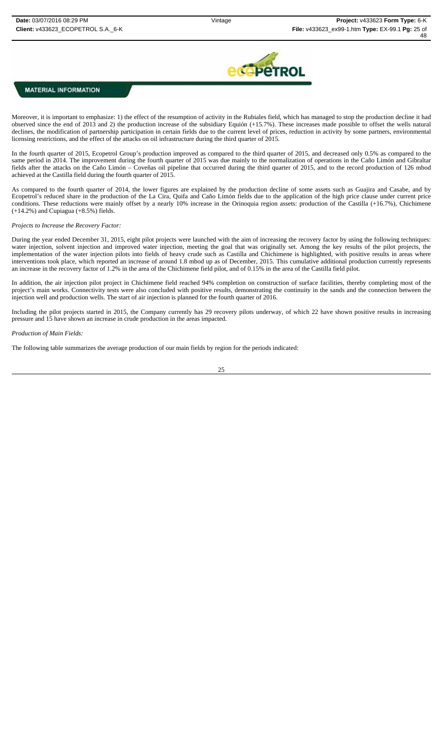

Moreover, it is important to emphasize: 1) the effect of the resumption of activity in the Rubiales field, which has managed to stop the production decline it had observed since the end of 2013 and 2) the production increase of the subsidiary Equión (+15.7%). These increases made possible to offset the wells natural declines, the modification of partnership participation in certain fields due to the current level of prices, reduction in activity by some partners, environmental licensing restrictions, and the effect of the attacks on oil infrastructure during the third quarter of 2015.

In the fourth quarter of 2015, Ecopetrol Group's production improved as compared to the third quarter of 2015, and decreased only 0.5% as compared to the same period in 2014. The improvement during the fourth quarter of 2015 was due mainly to the normalization of operations in the Caño Limón and Gibraltar fields after the attacks on the Caño Limón – Coveñas oil pipeline that occurred during the third quarter of 2015, and to the record production of 126 mbod achieved at the Castilla field during the fourth quarter of 2015.

As compared to the fourth quarter of 2014, the lower figures are explained by the production decline of some assets such as Guajira and Casabe, and by Ecopetrol's reduced share in the production of the La Cira, Quifa and Caño Limón fields due to the application of the high price clause under current price conditions. These reductions were mainly offset by a nearly 10% increase in the Orinoquia region assets: production of the Castilla (+16.7%), Chichimene (+14.2%) and Cupiagua (+8.5%) fields.

#### *Projects to Increase the Recovery Factor:*

During the year ended December 31, 2015, eight pilot projects were launched with the aim of increasing the recovery factor by using the following techniques: water injection, solvent injection and improved water injection, meeting the goal that was originally set. Among the key results of the pilot projects, the implementation of the water injection pilots into fields of heavy crude such as Castilla and Chichimene is highlighted, with positive results in areas where interventions took place, which reported an increase of around 1.8 mbod up as of December, 2015. This cumulative additional production currently represents an increase in the recovery factor of 1.2% in the area of the Chichimene field pilot, and of 0.15% in the area of the Castilla field pilot.

In addition, the air injection pilot project in Chichimene field reached 94% completion on construction of surface facilities, thereby completing most of the project's main works. Connectivity tests were also concluded with positive results, demonstrating the continuity in the sands and the connection between the injection well and production wells. The start of air injection is planned for the fourth quarter of 2016.

Including the pilot projects started in 2015, the Company currently has 29 recovery pilots underway, of which 22 have shown positive results in increasing pressure and 15 have shown an increase in crude production in the areas impacted.

#### *Production of Main Fields:*

The following table summarizes the average production of our main fields by region for the periods indicated:

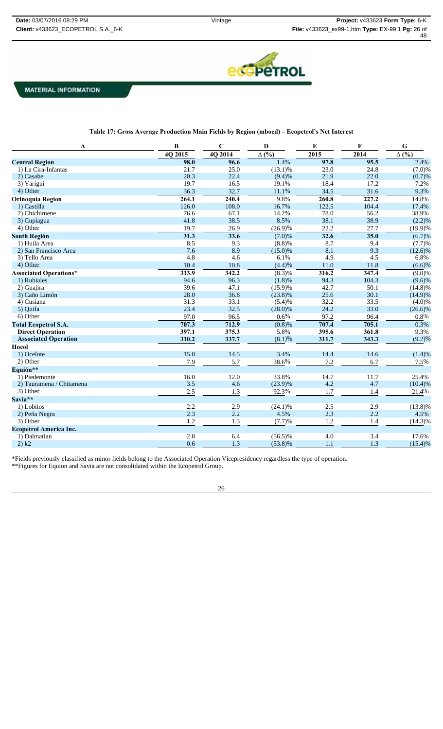

| A                             | B       | $\mathbf C$ | D                    | E     | F                  | G                    |
|-------------------------------|---------|-------------|----------------------|-------|--------------------|----------------------|
|                               | 4Q 2015 | 4Q 2014     | $\Delta$ (%)         | 2015  | 2014               | $\Delta$ (%)         |
| <b>Central Region</b>         | 98.0    | 96.6        | 1.4%                 | 97.8  | 95.5               | 2.4%                 |
| 1) La Cira-Infantas           | 21.7    | 25.0        | $(13.1)\%$           | 23.0  | 24.8               | (7.0)%               |
| 2) Casabe                     | 20.3    | 22.4        | (9.4)%               | 21.9  | 22.0               | (0.7)%               |
| 3) Yarigui                    | 19.7    | 16.5        | 19.1%                | 18.4  | 17.2               | 7.2%                 |
| 4) Other                      | 36.3    | 32.7        | 11.1%                | 34.5  | 31.6               | 9.3%                 |
| Orinoquía Region              | 264.1   | 240.4       | 9.8%                 | 260.8 | $\overline{227.2}$ | 14.8%                |
| 1) Castilla                   | 126.0   | 108.0       | 16.7%                | 122.5 | 104.4              | 17.4%                |
| 2) Chichimene                 | 76.6    | 67.1        | 14.2%                | 78.0  | 56.2               | 38.9%                |
| 3) Cupiagua                   | 41.8    | 38.5        | 8.5%                 | 38.1  | 38.9               | (2.2)%               |
| 4) Other                      | 19.7    | 26.9        | $(26.9)\%$           | 22.2  | 27.7               | (19.9)%              |
| <b>South Región</b>           | 31.3    | 33.6        | $(7.0)\%$            | 32.6  | 35.0               | (6.7)%               |
| 1) Huila Area                 | 8.5     | 9.3         | (8.8)%               | 8.7   | 9.4                | (7.7)%               |
| 2) San Francisco Area         | 7.6     | 8.9         | $(15.0)\%$           | 8.1   | 9.3                | $(12.6)\%$           |
| 3) Tello Area                 | 4.8     | 4.6         | 6.1%                 | 4.9   | 4.5                | 6.8%                 |
| 4) Other                      | 10.4    | 10.8        | (4.4)%               | 11.0  | 11.8               | (6.6)%               |
| <b>Associated Operations*</b> | 313.9   | 342.2       | $\overline{(8.3)}\%$ | 316.2 | 347.4              | $\overline{(9.0)}\%$ |
| 1) Rubiales                   | 94.6    | 96.3        | (1.8)%               | 94.3  | 104.3              | (9.6)%               |
| 2) Guajira                    | 39.6    | 47.1        | $(15.9)\%$           | 42.7  | 50.1               | $(14.8)\%$           |
| 3) Caño Limón                 | 28.0    | 36.8        | $(23.8)\%$           | 25.6  | 30.1               | $(14.9)\%$           |
| 4) Cusiana                    | 31.3    | 33.1        | (5.4)%               | 32.2  | 33.5               | (4.0)%               |
| 5) Quifa                      | 23.4    | 32.5        | $(28.0)\%$           | 24.2  | 33.0               | $(26.6)\%$           |
| 6) Other                      | 97.0    | 96.5        | 0.6%                 | 97.2  | 96.4               | $0.8\%$              |
| <b>Total Ecopetrol S.A.</b>   | 707.3   | 712.9       | $\overline{(0.8)}\%$ | 707.4 | 705.1              | 0.3%                 |
| <b>Direct Operation</b>       | 397.1   | 375.3       | 5.8%                 | 395.6 | 361.8              | 9.3%                 |
| <b>Associated Operation</b>   | 310.2   | 337.7       | (8.1)%               | 311.7 | 343.3              | (9.2)%               |
| Hocol                         |         |             |                      |       |                    |                      |
| 1) Ocelote                    | 15.0    | 14.5        | 3.4%                 | 14.4  | 14.6               | (1.4)%               |
| 2) Other                      | 7.9     | 5.7         | 38.6%                | 7.2   | 6.7                | 7.5%                 |
| Equión**                      |         |             |                      |       |                    |                      |
| 1) Piedemonte                 | 16.0    | 12.0        | 33.8%                | 14.7  | 11.7               | 25.4%                |
| 2) Tauramena / Chitamena      | 3.5     | 4.6         | $(23.9)\%$           | 4.2   | 4.7                | (10.4)%              |
| 3) Other                      | 2.5     | 1.3         | 92.3%                | 1.7   | 1.4                | 21.4%                |
| Savia**                       |         |             |                      |       |                    |                      |
| 1) Lobitos                    | 2.2     | 2.9         | $(24.1)\%$           | 2.5   | 2.9                | $(13.8)\%$           |
| 2) Peña Negra                 | 2.3     | 2.2         | 4.5%                 | 2.3   | 2.2                | 4.5%                 |
| 3) Other                      | 1.2     | 1.3         | (7.7)%               | 1.2   | 1.4                | $(14.3)\%$           |
| <b>Ecopetrol America Inc.</b> |         |             |                      |       |                    |                      |
| 1) Dalmatian                  | 2.8     | 6.4         | $(56.5)\%$           | 4.0   | 3.4                | 17.6%                |
| 2) k2                         | 0.6     | 1.3         | $(53.8)\%$           | 1.1   | 1.3                | (15.4)%              |

\*Fields previously classified as minor fields belong to the Associated Operation Vicepresidency regardless the type of operation. \*\*Figures for Equion and Savia are not consolidated within the Ecopetrol Group.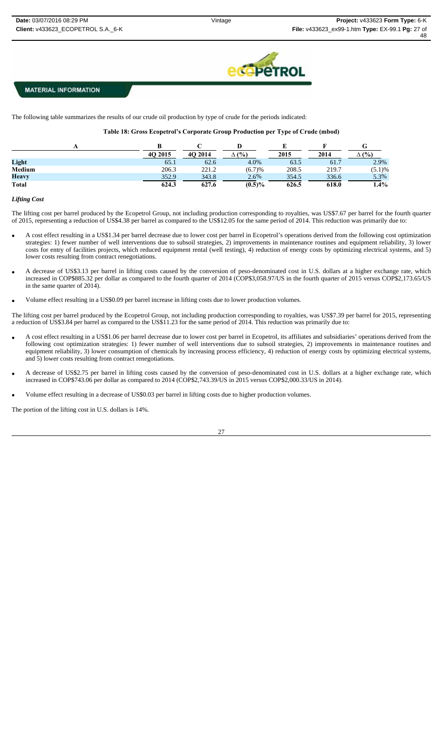

The following table summarizes the results of our crude oil production by type of crude for the periods indicated:

**Table 18: Gross Ecopetrol's Corporate Group Production per Type of Crude (mbod)**

|              | 4O 2015 | 4O 2014 | (%)<br>Δ  | 2015  | 2014  | (%)     |
|--------------|---------|---------|-----------|-------|-------|---------|
| Light        | 65.1    | 62.6    | 4.0%      | 63.5  | 61.7  | 2.9%    |
| Medium       | 206.3   | 221.2   | (6.7)%    | 208.5 | 219.7 | (5.1)%  |
| <b>Heavy</b> | 352.9   | 343.8   | 2.6%      | 354.5 | 336.6 | 5.3%    |
| <b>Total</b> | 624.3   | 627.6   | $(0.5)\%$ | 626.5 | 618.0 | $1.4\%$ |

### *Lifting Cost*

The lifting cost per barrel produced by the Ecopetrol Group, not including production corresponding to royalties, was US\$7.67 per barrel for the fourth quarter of 2015, representing a reduction of US\$4.38 per barrel as compared to the US\$12.05 for the same period of 2014. This reduction was primarily due to:

- A cost effect resulting in a US\$1.34 per barrel decrease due to lower cost per barrel in Ecopetrol's operations derived from the following cost optimization strategies: 1) fewer number of well interventions due to subsoil strategies, 2) improvements in maintenance routines and equipment reliability, 3) lower costs for entry of facilities projects, which reduced equipment rental (well testing), 4) reduction of energy costs by optimizing electrical systems, and 5) lower costs resulting from contract renegotiations.
- A decrease of US\$3.13 per barrel in lifting costs caused by the conversion of peso-denominated cost in U.S. dollars at a higher exchange rate, which increased in COP\$885.32 per dollar as compared to the fourth quarter of 2014 (COP\$3,058.97/US in the fourth quarter of 2015 versus COP\$2,173.65/US in the same quarter of 2014).
- Volume effect resulting in a US\$0.09 per barrel increase in lifting costs due to lower production volumes.

The lifting cost per barrel produced by the Ecopetrol Group, not including production corresponding to royalties, was US\$7.39 per barrel for 2015, representing a reduction of US\$3.84 per barrel as compared to the US\$11.23 for the same period of 2014. This reduction was primarily due to:

- A cost effect resulting in a US\$1.06 per barrel decrease due to lower cost per barrel in Ecopetrol, its affiliates and subsidiaries' operations derived from the following cost optimization strategies: 1) fewer number of well interventions due to subsoil strategies, 2) improvements in maintenance routines and equipment reliability, 3) lower consumption of chemicals by increasing process efficiency, 4) reduction of energy costs by optimizing electrical systems, and 5) lower costs resulting from contract renegotiations.
- A decrease of US\$2.75 per barrel in lifting costs caused by the conversion of peso-denominated cost in U.S. dollars at a higher exchange rate, which increased in COP\$743.06 per dollar as compared to 2014 (COP\$2,743.39/US in 2015 versus COP\$2,000.33/US in 2014).
- Volume effect resulting in a decrease of US\$0.03 per barrel in lifting costs due to higher production volumes.

The portion of the lifting cost in U.S. dollars is 14%.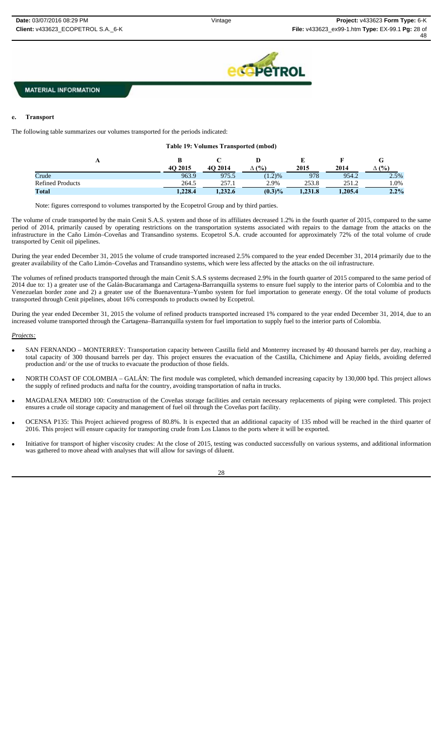**C** PeTROL

# **MATERIAL INFORMATION**

#### **e. Transport**

The following table summarizes our volumes transported for the periods indicated:

|  | <b>Table 19: Volumes Transported (mbod)</b> |  |
|--|---------------------------------------------|--|
|--|---------------------------------------------|--|

| Ŧэ                      | 4O 2015 | 4O 2014 | $(%^{6})^{1/2}$ | ∸<br>2015 | 2014    | u<br>(9/0)<br>Δ |
|-------------------------|---------|---------|-----------------|-----------|---------|-----------------|
| Crude                   | 963.9   | 975.5   | (1.2)%          | 978       | 954.2   | 2.5%            |
| <b>Refined Products</b> | 264.5   | 257.1   | 2.9%            | 253.8     | 251.2   | $1.0\%$         |
| Total                   | 1.228.4 | 1,232.6 | $(0.3)\%$       | 1,231.8   | 1,205.4 | $2.2\%$         |

Note: figures correspond to volumes transported by the Ecopetrol Group and by third parties.

The volume of crude transported by the main Cenit S.A.S. system and those of its affiliates decreased 1.2% in the fourth quarter of 2015, compared to the same period of 2014, primarily caused by operating restrictions on the transportation systems associated with repairs to the damage from the attacks on the infrastructure in the Caño Limón–Coveñas and Transandino systems. Ecopetrol S.A. crude accounted for approximately 72% of the total volume of crude transported by Cenit oil pipelines.

During the year ended December 31, 2015 the volume of crude transported increased 2.5% compared to the year ended December 31, 2014 primarily due to the greater availability of the Caño Limón–Coveñas and Transandino systems, which were less affected by the attacks on the oil infrastructure.

The volumes of refined products transported through the main Cenit S.A.S systems decreased 2.9% in the fourth quarter of 2015 compared to the same period of 2014 due to: 1) a greater use of the Galán-Bucaramanga and Cartagena-Barranquilla systems to ensure fuel supply to the interior parts of Colombia and to the Venezuelan border zone and 2) a greater use of the Buenaventura–Yumbo system for fuel importation to generate energy. Of the total volume of products transported through Cenit pipelines, about 16% corresponds to products owned by Ecopetrol.

During the year ended December 31, 2015 the volume of refined products transported increased 1% compared to the year ended December 31, 2014, due to an increased volume transported through the Cartagena–Barranquilla system for fuel importation to supply fuel to the interior parts of Colombia.

#### *Projects:*

- SAN FERNANDO MONTERREY: Transportation capacity between Castilla field and Monterrey increased by 40 thousand barrels per day, reaching a total capacity of 300 thousand barrels per day. This project ensures the evacuation of the Castilla, Chichimene and Apiay fields, avoiding deferred production and/ or the use of trucks to evacuate the production of those fields.
- NORTH COAST OF COLOMBIA GALÁN: The first module was completed, which demanded increasing capacity by 130,000 bpd. This project allows the supply of refined products and nafta for the country, avoiding transportation of nafta in trucks.
- MAGDALENA MEDIO 100: Construction of the Coveñas storage facilities and certain necessary replacements of piping were completed. This project ensures a crude oil storage capacity and management of fuel oil through the Coveñas port facility.
- OCENSA P135: This Project achieved progress of 80.8%. It is expected that an additional capacity of 135 mbod will be reached in the third quarter of 2016. This project will ensure capacity for transporting crude from Los Llanos to the ports where it will be exported.
- Initiative for transport of higher viscosity crudes: At the close of 2015, testing was conducted successfully on various systems, and additional information was gathered to move ahead with analyses that will allow for savings of diluent.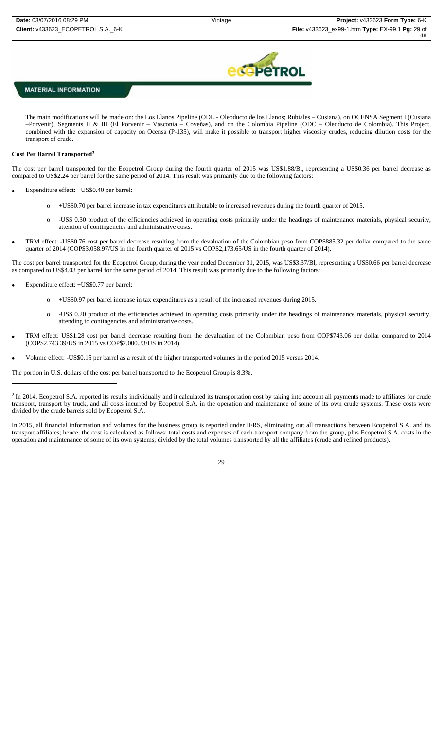

The main modifications will be made on: the Los Llanos Pipeline (ODL - Oleoducto de los Llanos; Rubiales – Cusiana), on OCENSA Segment I (Cusiana –Porvenir), Segments II & III (El Porvenir – Vasconia – Coveñas), and on the Colombia Pipeline (ODC – Oleoducto de Colombia). This Project, combined with the expansion of capacity on Ocensa (P-135), will make it possible to transport higher viscosity crudes, reducing dilution costs for the transport of crude.

### **Cost Per Barrel Transported2**

The cost per barrel transported for the Ecopetrol Group during the fourth quarter of 2015 was US\$1.88/Bl, representing a US\$0.36 per barrel decrease as compared to US\$2.24 per barrel for the same period of 2014. This result was primarily due to the following factors:

- Expenditure effect: +US\$0.40 per barrel:
	- o +US\$0.70 per barrel increase in tax expenditures attributable to increased revenues during the fourth quarter of 2015.
	- o -US\$ 0.30 product of the efficiencies achieved in operating costs primarily under the headings of maintenance materials, physical security, attention of contingencies and administrative costs.
- TRM effect: -US\$0.76 cost per barrel decrease resulting from the devaluation of the Colombian peso from COP\$885.32 per dollar compared to the same quarter of 2014 (COP\$3,058.97/US in the fourth quarter of 2015 vs COP\$2,173.65/US in the fourth quarter of 2014).

The cost per barrel transported for the Ecopetrol Group, during the year ended December 31, 2015, was US\$3.37/Bl, representing a US\$0.66 per barrel decrease as compared to US\$4.03 per barrel for the same period of 2014. This result was primarily due to the following factors:

Expenditure effect: +US\$0.77 per barrel:

- o +US\$0.97 per barrel increase in tax expenditures as a result of the increased revenues during 2015.
- o -US\$ 0.20 product of the efficiencies achieved in operating costs primarily under the headings of maintenance materials, physical security, attending to contingencies and administrative costs.
- TRM effect: US\$1.28 cost per barrel decrease resulting from the devaluation of the Colombian peso from COP\$743.06 per dollar compared to 2014 (COP\$2,743.39/US in 2015 vs COP\$2,000.33/US in 2014).
- Volume effect: -US\$0.15 per barrel as a result of the higher transported volumes in the period 2015 versus 2014.

The portion in U.S. dollars of the cost per barrel transported to the Ecopetrol Group is 8.3%.

In 2015, all financial information and volumes for the business group is reported under IFRS, eliminating out all transactions between Ecopetrol S.A. and its transport affiliates; hence, the cost is calculated as follows: total costs and expenses of each transport company from the group, plus Ecopetrol S.A. costs in the operation and maintenance of some of its own systems; divided by the total volumes transported by all the affiliates (crude and refined products).

<sup>&</sup>lt;sup>2</sup> In 2014, Ecopetrol S.A. reported its results individually and it calculated its transportation cost by taking into account all payments made to affiliates for crude transport, transport by truck, and all costs incurred by Ecopetrol S.A. in the operation and maintenance of some of its own crude systems. These costs were divided by the crude barrels sold by Ecopetrol S.A.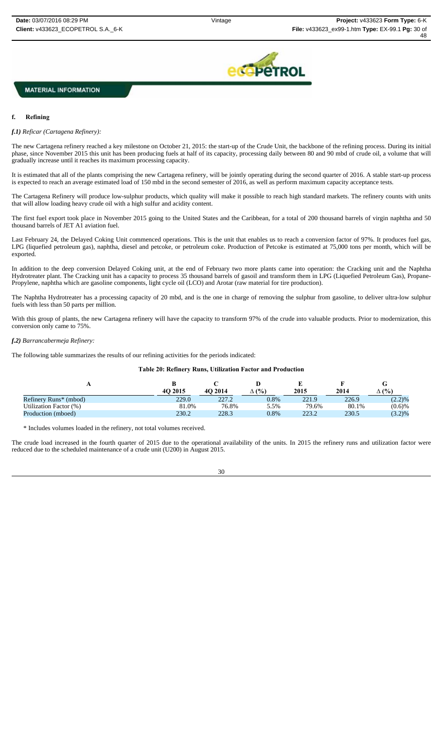

#### **f. Refining**

#### *f.1) Reficar (Cartagena Refinery):*

The new Cartagena refinery reached a key milestone on October 21, 2015: the start-up of the Crude Unit, the backbone of the refining process. During its initial phase, since November 2015 this unit has been producing fuels at half of its capacity, processing daily between 80 and 90 mbd of crude oil, a volume that will gradually increase until it reaches its maximum processing capacity.

It is estimated that all of the plants comprising the new Cartagena refinery, will be jointly operating during the second quarter of 2016. A stable start-up process is expected to reach an average estimated load of 150 mbd in the second semester of 2016, as well as perform maximum capacity acceptance tests.

The Cartagena Refinery will produce low-sulphur products, which quality will make it possible to reach high standard markets. The refinery counts with units that will allow loading heavy crude oil with a high sulfur and acidity content.

The first fuel export took place in November 2015 going to the United States and the Caribbean, for a total of 200 thousand barrels of virgin naphtha and 50 thousand barrels of JET A1 aviation fuel.

Last February 24, the Delayed Coking Unit commenced operations. This is the unit that enables us to reach a conversion factor of 97%. It produces fuel gas, LPG (liquefied petroleum gas), naphtha, diesel and petcoke, or petroleum coke. Production of Petcoke is estimated at 75,000 tons per month, which will be exported.

In addition to the deep conversion Delayed Coking unit, at the end of February two more plants came into operation: the Cracking unit and the Naphtha Hydrotreater plant. The Cracking unit has a capacity to process 35 thousand barrels of gasoil and transform them in LPG (Liquefied Petroleum Gas), Propane-Propylene, naphtha which are gasoline components, light cycle oil (LCO) and Arotar (raw material for tire production).

The Naphtha Hydrotreater has a processing capacity of 20 mbd, and is the one in charge of removing the sulphur from gasoline, to deliver ultra-low sulphur fuels with less than 50 parts per million.

With this group of plants, the new Cartagena refinery will have the capacity to transform 97% of the crude into valuable products. Prior to modernization, this conversion only came to 75%.

#### *f.2) Barrancabermeja Refinery:*

The following table summarizes the results of our refining activities for the periods indicated:

**Table 20: Refinery Runs, Utilization Factor and Production**

|                                   | 4O 2015 | 4O 2014 | $^{\circ}$ (%) | 2015  | 2014  | G<br>(%)  |
|-----------------------------------|---------|---------|----------------|-------|-------|-----------|
| Refinery Runs <sup>*</sup> (mbod) | 229.0   | 227.2   | 0.8%           | 221.9 | 226.9 | (2.2)%    |
| Utilization Factor (%)            | 81.0%   | 76.8%   | 5.5%           | 79.6% | 80.1% | (0.6)%    |
| Production (mboed)                | 230.2   | 228.3   | 0.8%           | 223.2 | 230.5 | $(3.2)\%$ |

\* Includes volumes loaded in the refinery, not total volumes received.

The crude load increased in the fourth quarter of 2015 due to the operational availability of the units. In 2015 the refinery runs and utilization factor were reduced due to the scheduled maintenance of a crude unit (U200) in August 2015.

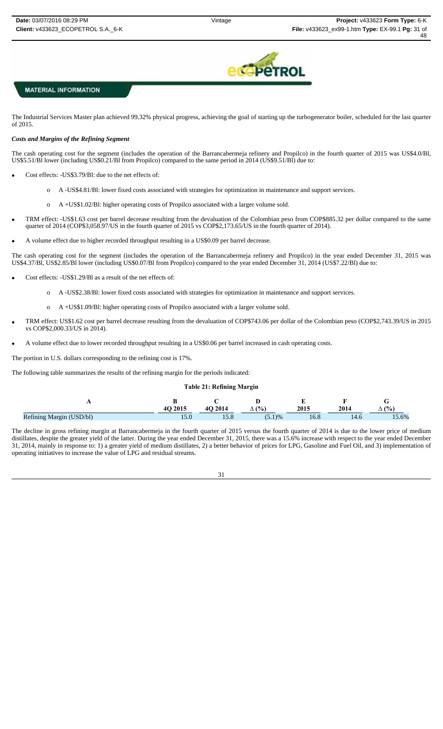

The Industrial Services Master plan achieved 99.32% physical progress, achieving the goal of starting up the turbogenerator boiler, scheduled for the last quarter of 2015.

### *Costs and Margins of the Refining Segment*

The cash operating cost for the segment (includes the operation of the Barrancabermeja refinery and Propilco) in the fourth quarter of 2015 was US\$4.0/Bl, US\$5.51/Bl lower (including US\$0.21/Bl from Propilco) compared to the same period in 2014 (US\$9.51/Bl) due to:

- Cost effects: -US\$3.79/Bl: due to the net effects of:
	- o A -US\$4.81/Bl: lower fixed costs associated with strategies for optimization in maintenance and support services.
	- o A +US\$1.02/Bl: higher operating costs of Propilco associated with a larger volume sold.
- TRM effect: -US\$1.63 cost per barrel decrease resulting from the devaluation of the Colombian peso from COP\$885.32 per dollar compared to the same quarter of 2014 (COP\$3,058.97/US in the fourth quarter of 2015 vs COP\$2,173.65/US in the fourth quarter of 2014).
- A volume effect due to higher recorded throughput resulting in a US\$0.09 per barrel decrease.

The cash operating cost for the segment (includes the operation of the Barrancabermeja refinery and Propilco) in the year ended December 31, 2015 was US\$4.37/Bl, US\$2.85/Bl lower (including US\$0.07/Bl from Propilco) compared to the year ended December 31, 2014 (US\$7.22/Bl) due to:

- Cost effects: -US\$1.29/Bl as a result of the net effects of:
	- o A -US\$2.38/Bl: lower fixed costs associated with strategies for optimization in maintenance and support services.
	- o A +US\$1.09/Bl: higher operating costs of Propilco associated with a larger volume sold.
- TRM effect: US\$1.62 cost per barrel decrease resulting from the devaluation of COP\$743.06 per dollar of the Colombian peso (COP\$2,743.39/US in 2015 vs COP\$2,000.33/US in 2014).
- A volume effect due to lower recorded throughput resulting in a US\$0.06 per barrel increased in cash operating costs.

The portion in U.S. dollars corresponding to the refining cost is 17%.

The following table summarizes the results of the refining margin for the periods indicated:

## **Table 21: Refining Margin**

|                          | O 2015 | 4O 2014 | (%     | 2015 | $201-$ | (0)   |
|--------------------------|--------|---------|--------|------|--------|-------|
| Refining Margin (USD/bl) |        |         | (5.1)% |      |        | 15.6% |

The decline in gross refining margin at Barrancabermeja in the fourth quarter of 2015 versus the fourth quarter of 2014 is due to the lower price of medium distillates, despite the greater yield of the latter. During the year ended December 31, 2015, there was a 15.6% increase with respect to the year ended December 31, 2014, mainly in response to: 1) a greater yield of medium distillates, 2) a better behavior of prices for LPG, Gasoline and Fuel Oil, and 3) implementation of operating initiatives to increase the value of LPG and residual streams.

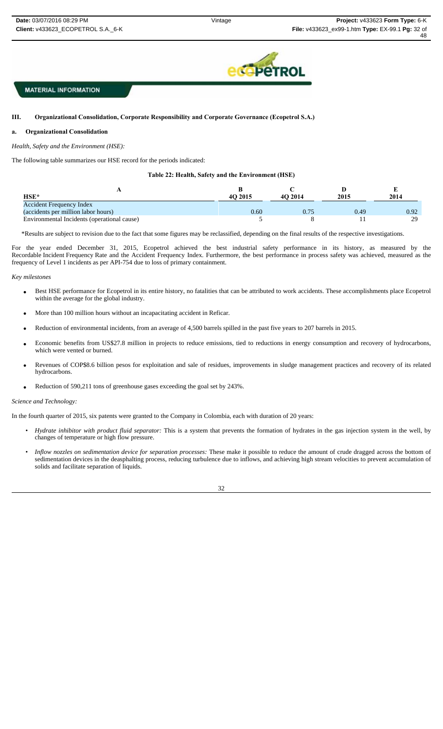

#### Ш. **III. Organizational Consolidation, Corporate Responsibility and Corporate Governance (Ecopetrol S.A.)**

#### **a. Organizational Consolidation**

*Health, Safety and the Environment (HSE):*

The following table summarizes our HSE record for the periods indicated:

### **Table 22: Health, Safety and the Environment (HSE)**

| $HSE*$                                      | 4O 2015 | 4O 2014 | 2015 | 2014 |
|---------------------------------------------|---------|---------|------|------|
| <b>Accident Frequency Index</b>             |         |         |      |      |
| (accidents per million labor hours)         | 0.60    | 0.75    | 0.49 | 0.92 |
| Environmental Incidents (operational cause) |         |         |      | 29   |

\*Results are subject to revision due to the fact that some figures may be reclassified, depending on the final results of the respective investigations.

For the year ended December 31, 2015, Ecopetrol achieved the best industrial safety performance in its history, as measured by the Recordable Incident Frequency Rate and the Accident Frequency Index. Furthermore, the best performance in process safety was achieved, measured as the frequency of Level 1 incidents as per API-754 due to loss of primary containment.

#### *Key milestones*

- Best HSE performance for Ecopetrol in its entire history, no fatalities that can be attributed to work accidents. These accomplishments place Ecopetrol within the average for the global industry.
- More than 100 million hours without an incapacitating accident in Reficar.
- Reduction of environmental incidents, from an average of 4,500 barrels spilled in the past five years to 207 barrels in 2015.
- Economic benefits from US\$27.8 million in projects to reduce emissions, tied to reductions in energy consumption and recovery of hydrocarbons, which were vented or burned.
- Revenues of COP\$8.6 billion pesos for exploitation and sale of residues, improvements in sludge management practices and recovery of its related hydrocarbons.
- Reduction of 590,211 tons of greenhouse gases exceeding the goal set by 243%.

#### *Science and Technology:*

In the fourth quarter of 2015, six patents were granted to the Company in Colombia, each with duration of 20 years:

- *Hydrate inhibitor with product fluid separator:* This is a system that prevents the formation of hydrates in the gas injection system in the well, by changes of temperature or high flow pressure.
- *Inflow nozzles on sedimentation device for separation processes:* These make it possible to reduce the amount of crude dragged across the bottom of sedimentation devices in the deasphalting process, reducing turbulence due to inflows, and achieving high stream velocities to prevent accumulation of solids and facilitate separation of liquids.

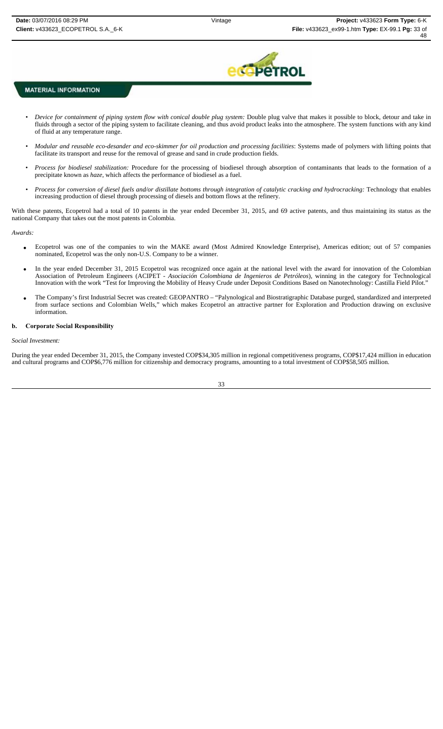

- *Pevice for containment of piping system flow with conical double plug system: Double plug valve that makes it possible to block, detour and take in* fluids through a sector of the piping system to facilitate cleaning, and thus avoid product leaks into the atmosphere. The system functions with any kind of fluid at any temperature range.
- *• Modular and reusable eco-desander and eco-skimmer for oil production and processing facilities*: Systems made of polymers with lifting points that facilitate its transport and reuse for the removal of grease and sand in crude production fields.
- *Process for biodiesel stabilization:* Procedure for the processing of biodiesel through absorption of contaminants that leads to the formation of a precipitate known as *haze*, which affects the performance of biodiesel as a fuel.
- Process for conversion of diesel fuels and/or distillate bottoms through integration of catalytic cracking and hydrocracking: Technology that enables increasing production of diesel through processing of diesels and bottom flows at the refinery.

With these patents, Ecopetrol had a total of 10 patents in the year ended December 31, 2015, and 69 active patents, and thus maintaining its status as the national Company that takes out the most patents in Colombia.

*Awards:* 

- Ecopetrol was one of the companies to win the MAKE award (Most Admired Knowledge Enterprise), Americas edition; out of 57 companies nominated, Ecopetrol was the only non-U.S. Company to be a winner.
- In the year ended December 31, 2015 Ecopetrol was recognized once again at the national level with the award for innovation of the Colombian Association of Petroleum Engineers (ACIPET - *Asociación Colombiana de Ingenieros de Petróleos*), winning in the category for Technological Innovation with the work "Test for Improving the Mobility of Heavy Crude under Deposit Conditions Based on Nanotechnology: Castilla Field Pilot."
- The Company's first Industrial Secret was created: GEOPANTRO "Palynological and Biostratigraphic Database purged, standardized and interpreted from surface sections and Colombian Wells," which makes Ecopetrol an attractive partner for Exploration and Production drawing on exclusive information.

### **b. Corporate Social Responsibility**

#### *Social Investment:*

During the year ended December 31, 2015, the Company invested COP\$34,305 million in regional competitiveness programs, COP\$17,424 million in education and cultural programs and COP\$6,776 million for citizenship and democracy programs, amounting to a total investment of COP\$58,505 million.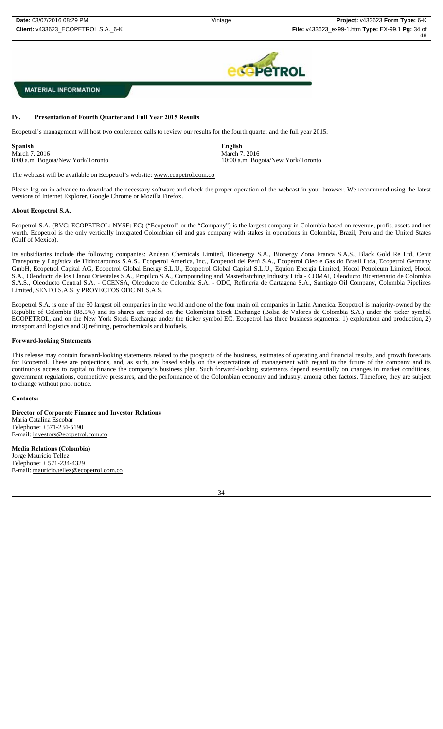

8:00 a.m. Bogota/New York/Toronto 10:00 a.m. Bogota/New York/Toronto

# **MATERIAL INFORMATION**

### **IV. Presentation of Fourth Quarter and Full Year 2015 Results**

Ecopetrol's management will host two conference calls to review our results for the fourth quarter and the full year 2015:

**Spanish English** March 7, 2016<br>
8:00 a.m. Bogota/New York/Toronto<br>
10:00 a.m. Bog

The webcast will be available on Ecopetrol's website: www.ecopetrol.com.co

Please log on in advance to download the necessary software and check the proper operation of the webcast in your browser. We recommend using the latest versions of Internet Explorer, Google Chrome or Mozilla Firefox.

#### **About Ecopetrol S.A.**

Ecopetrol S.A. (BVC: ECOPETROL; NYSE: EC) ("Ecopetrol" or the "Company") is the largest company in Colombia based on revenue, profit, assets and net worth. Ecopetrol is the only vertically integrated Colombian oil and gas company with stakes in operations in Colombia, Brazil, Peru and the United States (Gulf of Mexico).

Its subsidiaries include the following companies: Andean Chemicals Limited, Bioenergy S.A., Bionergy Zona Franca S.A.S., Black Gold Re Ltd, Cenit Transporte y Logística de Hidrocarburos S.A.S., Ecopetrol America, Inc., Ecopetrol del Perú S.A., Ecopetrol Oleo e Gas do Brasil Ltda, Ecopetrol Germany GmbH, Ecopetrol Capital AG, Ecopetrol Global Energy S.L.U., Ecopetrol Global Capital S.L.U., Equion Energía Limited, Hocol Petroleum Limited, Hocol S.A., Oleoducto de los Llanos Orientales S.A., Propilco S.A., Compounding and Masterbatching Industry Ltda - COMAI, Oleoducto Bicentenario de Colombia S.A.S., Oleoducto Central S.A. - OCENSA, Oleoducto de Colombia S.A. - ODC, Refinería de Cartagena S.A., Santiago Oil Company, Colombia Pipelines Limited, SENTO S.A.S. y PROYECTOS ODC N1 S.A.S.

Ecopetrol S.A. is one of the 50 largest oil companies in the world and one of the four main oil companies in Latin America. Ecopetrol is majority-owned by the Republic of Colombia (88.5%) and its shares are traded on the Colombian Stock Exchange (Bolsa de Valores de Colombia S.A.) under the ticker symbol ECOPETROL, and on the New York Stock Exchange under the ticker symbol EC. Ecopetrol has three business segments: 1) exploration and production, 2) transport and logistics and 3) refining, petrochemicals and biofuels.

### **Forward-looking Statements**

This release may contain forward-looking statements related to the prospects of the business, estimates of operating and financial results, and growth forecasts for Ecopetrol. These are projections, and, as such, are based solely on the expectations of management with regard to the future of the company and its continuous access to capital to finance the company's business plan. Such forward-looking statements depend essentially on changes in market conditions, government regulations, competitive pressures, and the performance of the Colombian economy and industry, among other factors. Therefore, they are subject to change without prior notice.

#### **Contacts:**

**Director of Corporate Finance and Investor Relations** Maria Catalina Escobar Telephone: +571-234-5190 E-mail: investors@ecopetrol.com.co

**Media Relations (Colombia)** Jorge Mauricio Tellez Telephone: + 571-234-4329 E-mail: mauricio.tellez@ecopetrol.com.co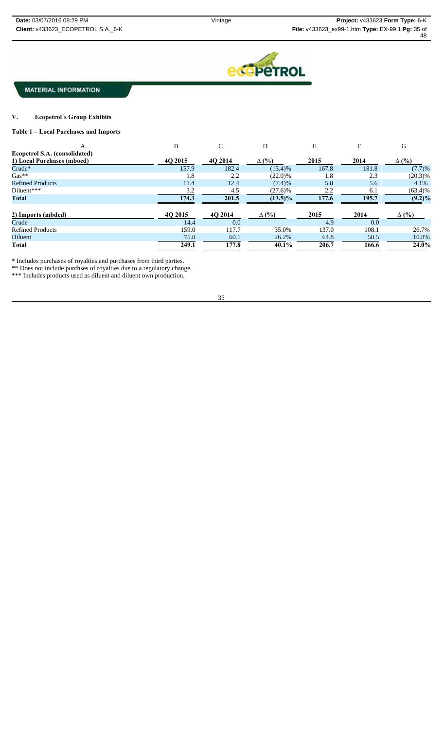

#### $\mathbf{V}$ . **V. Ecopetrol´s Group Exhibits**

### **Table 1 – Local Purchases and Imports**

| А                             | B       | C       | D            | E     | F     | G            |
|-------------------------------|---------|---------|--------------|-------|-------|--------------|
| Ecopetrol S.A. (consolidated) |         |         |              |       |       |              |
| 1) Local Purchases (mboed)    | 40 2015 | 4Q 2014 | $\Delta$ (%) | 2015  | 2014  | $\Delta$ (%) |
| $Crude*$                      | 157.9   | 182.4   | $(13.4)\%$   | 167.8 | 181.8 | (7.7)%       |
| $Gas**$                       | 1.8     | 2.2     | $(22.0)\%$   | 1.8   | 2.3   | $(20.3)\%$   |
| <b>Refined Products</b>       | 11.4    | 12.4    | (7.4)%       | 5.8   | 5.6   | 4.1%         |
| Diluent***                    | 3.2     | 4.5     | $(27.6)$ %   | 2.2   | 6.1   | $(63.4)\%$   |
| <b>Total</b>                  | 174.3   | 201.5   | $(13.5)\%$   | 177.6 | 195.7 | $(9.2)\%$    |
| 2) Imports (mbded)            | 4Q 2015 | 4Q 2014 | $\Delta$ (%) | 2015  | 2014  | $\Delta$ (%) |
| Crude                         | 14.4    | 0.0     |              | 4.9   | 0.0   |              |
| <b>Refined Products</b>       | 159.0   | 117.7   | 35.0%        | 137.0 | 108.1 | 26.7%        |
| Diluent                       | 75.8    | 60.1    | 26.2%        | 64.8  | 58.5  | 10.8%        |
| Total                         | 249.1   | 177.8   | 40.1%        | 206.7 | 166.6 | 24.0%        |

\* Includes purchases of royalties and purchases from third parties.

\*\* Does not include purchses of royalties due to a regulatory change.

\*\*\* Includes products used as diluent and diluent own production.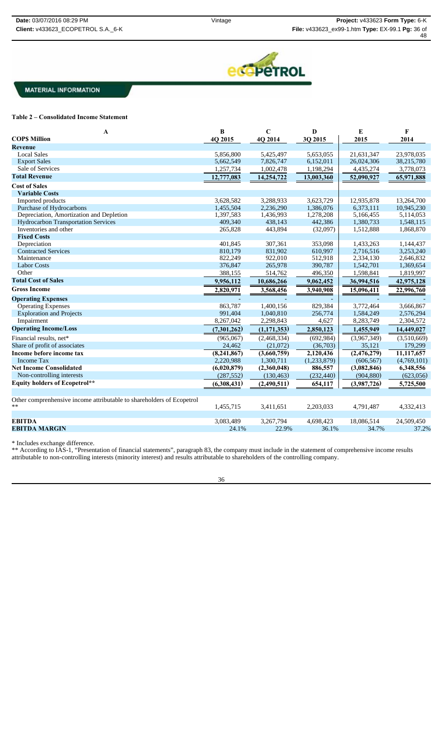

### **Table 2 – Consolidated Income Statement**

| $\mathbf{A}$                                                          | $\bf{B}$    | $\mathbf C$   | D           | E           | F           |
|-----------------------------------------------------------------------|-------------|---------------|-------------|-------------|-------------|
| <b>COPS Million</b>                                                   | 4Q 2015     | 4Q 2014       | 3Q 2015     | 2015        | 2014        |
| Revenue                                                               |             |               |             |             |             |
| <b>Local Sales</b>                                                    | 5,856,800   | 5,425,497     | 5,653,055   | 21,631,347  | 23,978,035  |
| <b>Export Sales</b>                                                   | 5,662,549   | 7,826,747     | 6,152,011   | 26,024,306  | 38,215,780  |
| Sale of Services                                                      | 1,257,734   | 1,002,478     | 1,198,294   | 4,435,274   | 3,778,073   |
| <b>Total Revenue</b>                                                  | 12,777,083  | 14,254,722    | 13,003,360  | 52,090,927  | 65,971,888  |
| <b>Cost of Sales</b>                                                  |             |               |             |             |             |
| <b>Variable Costs</b>                                                 |             |               |             |             |             |
| Imported products                                                     | 3,628,582   | 3,288,933     | 3,623,729   | 12,935,878  | 13,264,700  |
| Purchase of Hydrocarbons                                              | 1,455,504   | 2,236,290     | 1,386,076   | 6,373,111   | 10,945,230  |
| Depreciation, Amortization and Depletion                              | 1.397.583   | 1,436,993     | 1,278,208   | 5,166,455   | 5,114,053   |
| <b>Hydrocarbon Transportation Services</b>                            | 409,340     | 438,143       | 442,386     | 1,380,733   | 1,548,115   |
| Inventories and other                                                 | 265,828     | 443,894       | (32,097)    | 1,512,888   | 1,868,870   |
| <b>Fixed Costs</b>                                                    |             |               |             |             |             |
| Depreciation                                                          | 401,845     | 307,361       | 353,098     | 1,433,263   | 1,144,437   |
| <b>Contracted Services</b>                                            | 810.179     | 831,902       | 610,997     | 2,716,516   | 3,253,240   |
| Maintenance                                                           | 822,249     | 922,010       | 512,918     | 2,334,130   | 2,646,832   |
| <b>Labor Costs</b>                                                    | 376,847     | 265,978       | 390,787     | 1,542,701   | 1,369,654   |
| Other                                                                 | 388,155     | 514,762       | 496,350     | 1,598,841   | 1,819,997   |
| <b>Total Cost of Sales</b>                                            | 9,956,112   | 10,686,266    | 9,062,452   | 36,994,516  | 42,975,128  |
| <b>Gross Income</b>                                                   | 2,820,971   | 3,568,456     | 3,940,908   | 15,096,411  | 22,996,760  |
| <b>Operating Expenses</b>                                             |             |               |             |             |             |
| <b>Operating Expenses</b>                                             | 863,787     | 1,400,156     | 829,384     | 3,772,464   | 3,666,867   |
| <b>Exploration and Projects</b>                                       | 991,404     | 1,040,810     | 256,774     | 1,584,249   | 2,576,294   |
| Impairment                                                            | 8,267,042   | 2,298,843     | 4,627       | 8,283,749   | 2,304,572   |
| <b>Operating Income/Loss</b>                                          | (7,301,262) | (1, 171, 353) | 2,850,123   | 1,455,949   | 14,449,027  |
| Financial results, net*                                               | (965,067)   | (2,468,334)   | (692, 984)  | (3,967,349) | (3,510,669) |
| Share of profit of associates                                         | 24,462      | (21,072)      | (36,703)    | 35,121      | 179,299     |
| Income before income tax                                              | (8,241,867) | (3,660,759)   | 2,120,436   | (2,476,279) | 11,117,657  |
| <b>Income Tax</b>                                                     | 2,220,988   | 1,300,711     | (1,233,879) | (606, 567)  | (4,769,101) |
| <b>Net Income Consolidated</b>                                        | (6,020,879) | (2,360,048)   | 886,557     | (3,082,846) | 6,348,556   |
| Non-controlling interests                                             | (287, 552)  | (130, 463)    | (232, 440)  | (904, 880)  | (623,056)   |
| <b>Equity holders of Ecopetrol**</b>                                  | (6,308,431) | (2,490,511)   | 654,117     | (3,987,726) | 5,725,500   |
|                                                                       |             |               |             |             |             |
| Other comprenhensive income attributable to shareholders of Ecopetrol |             |               |             |             |             |
| $***$                                                                 | 1,455,715   | 3,411,651     | 2,203,033   | 4,791,487   | 4,332,413   |
|                                                                       |             |               |             |             |             |
| <b>EBITDA</b>                                                         | 3,083,489   | 3,267,794     | 4,698,423   | 18,086,514  | 24,509,450  |
| <b>EBITDA MARGIN</b>                                                  | 24.1%       | 22.9%         | 36.1%       | 34.7%       | 37.2%       |

\* Includes exchange difference.

\*\* According to IAS-1, "Presentation of financial statements", paragraph 83, the company must include in the statement of comprehensive income results attributable to non-controlling interests (minority interest) and results attributable to shareholders of the controlling company.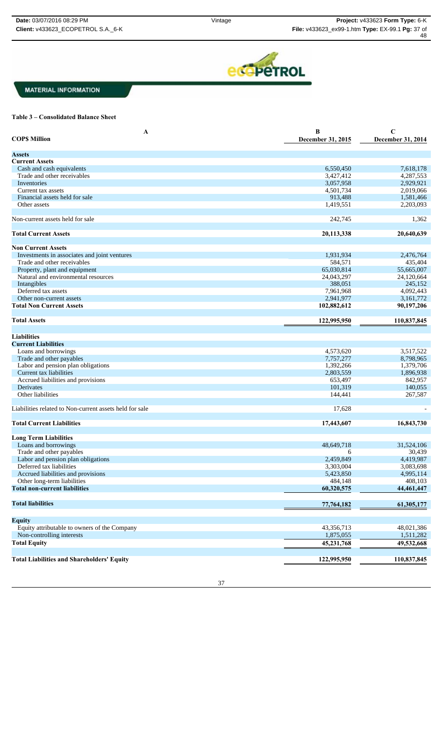

#### **Table 3 – Consolidated Balance Sheet**

| A                                                       | B                 | $\mathbf C$       |
|---------------------------------------------------------|-------------------|-------------------|
| <b>COPS Million</b>                                     | December 31, 2015 | December 31, 2014 |
|                                                         |                   |                   |
| <b>Assets</b>                                           |                   |                   |
| <b>Current Assets</b>                                   |                   |                   |
| Cash and cash equivalents                               | 6,550,450         | 7,618,178         |
| Trade and other receivables                             | 3,427,412         | 4,287,553         |
| Inventories                                             | 3,057,958         | 2,929,921         |
| Current tax assets                                      | 4,501,734         | 2,019,066         |
| Financial assets held for sale                          | 913,488           | 1,581,466         |
| Other assets                                            | 1,419,551         | 2,203,093         |
|                                                         |                   |                   |
|                                                         |                   |                   |
| Non-current assets held for sale                        | 242,745           | 1,362             |
|                                                         |                   |                   |
| <b>Total Current Assets</b>                             | 20,113,338        | 20,640,639        |
|                                                         |                   |                   |
| <b>Non Current Assets</b>                               |                   |                   |
| Investments in associates and joint ventures            | 1,931,934         | 2,476,764         |
| Trade and other receivables                             | 584,571           | 435,404           |
| Property, plant and equipment                           | 65,030,814        | 55,665,007        |
| Natural and environmental resources                     | 24,043,297        | 24,120,664        |
| Intangibles                                             | 388,051           | 245,152           |
| Deferred tax assets                                     | 7,961,968         | 4,092,443         |
| Other non-current assets                                | 2,941,977         | 3,161,772         |
| <b>Total Non Current Assets</b>                         | 102,882,612       | 90,197,206        |
|                                                         |                   |                   |
| <b>Total Assets</b>                                     |                   |                   |
|                                                         | 122,995,950       | 110,837,845       |
|                                                         |                   |                   |
| Liabilities                                             |                   |                   |
| <b>Current Liabilities</b>                              |                   |                   |
| Loans and borrowings                                    | 4,573,620         | 3,517,522         |
| Trade and other payables                                | 7,757,277         | 8,798,965         |
| Labor and pension plan obligations                      | 1,392,266         | 1,379,706         |
| Current tax liabilities                                 | 2,803,559         | 1,896,938         |
|                                                         | 653,497           |                   |
| Accrued liabilities and provisions                      |                   | 842,957           |
| Derivates                                               | 101,319           | 140,055           |
| Other liabilities                                       | 144,441           | 267,587           |
|                                                         |                   |                   |
| Liabilities related to Non-current assets held for sale | 17,628            |                   |
|                                                         |                   |                   |
| <b>Total Current Liabilities</b>                        | 17,443,607        | 16,843,730        |
|                                                         |                   |                   |
| <b>Long Term Liabilities</b>                            |                   |                   |
| Loans and borrowings                                    | 48.649.718        | 31,524,106        |
| Trade and other payables                                | 6                 | 30,439            |
| Labor and pension plan obligations                      | 2,459,849         | 4,419,987         |
| Deferred tax liabilities                                | 3,303,004         | 3,083,698         |
| Accrued liabilities and provisions                      | 5,423,850         | 4,995,114         |
| Other long-term liabilities                             | 484,148           | 408,103           |
| <b>Total non-current liabilities</b>                    | 60,320,575        |                   |
|                                                         |                   | 44,461,447        |
|                                                         |                   |                   |
| <b>Total liabilities</b>                                | 77,764,182        | 61,305,177        |
|                                                         |                   |                   |
| <b>Equity</b>                                           |                   |                   |
| Equity attributable to owners of the Company            | 43,356,713        | 48,021,386        |
| Non-controlling interests                               | 1,875,055         | 1,511,282         |
| <b>Total Equity</b>                                     |                   |                   |
|                                                         | 45,231,768        | 49,532,668        |
|                                                         |                   |                   |
| <b>Total Liabilities and Shareholders' Equity</b>       | 122,995,950       | 110,837,845       |

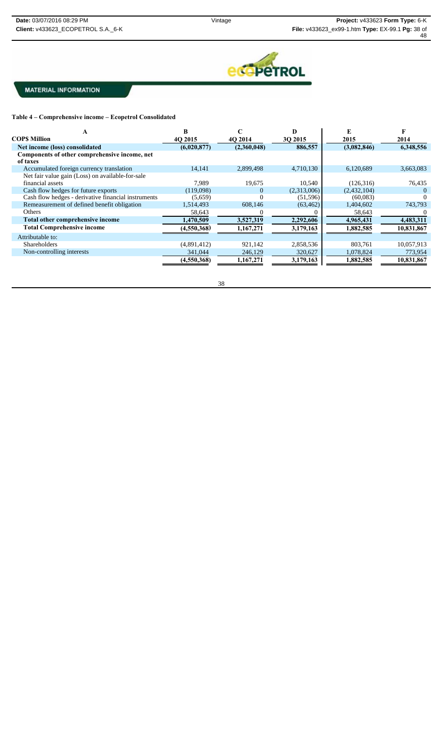

**Table 4 – Comprehensive income – Ecopetrol Consolidated**

| <b>COPS Million</b>                                 | 40 2015     | 40 2014     | 30 2015     | 2015        | 2014       |
|-----------------------------------------------------|-------------|-------------|-------------|-------------|------------|
| Net income (loss) consolidated                      | (6,020,877) | (2,360,048) | 886,557     | (3,082,846) | 6,348,556  |
| Components of other comprehensive income, net       |             |             |             |             |            |
| of taxes                                            |             |             |             |             |            |
| Accumulated foreign currency translation            | 14,141      | 2,899,498   | 4,710,130   | 6,120,689   | 3,663,083  |
| Net fair value gain (Loss) on available-for-sale    |             |             |             |             |            |
| financial assets                                    | 7.989       | 19,675      | 10,540      | (126,316)   | 76,435     |
| Cash flow hedges for future exports                 | (119,098)   | $\Omega$    | (2,313,006) | (2,432,104) |            |
| Cash flow hedges - derivative financial instruments | (5,659)     | $\Omega$    | (51, 596)   | (60,083)    |            |
| Remeasurement of defined benefit obligation         | 1,514,493   | 608.146     | (63, 462)   | 1,404,602   | 743,793    |
| Others                                              | 58,643      |             |             | 58,643      |            |
| Total other comprehensive income                    | 1,470,509   | 3,527,319   | 2,292,606   | 4,965,431   | 4,483,311  |
| <b>Total Comprehensive income</b>                   | (4,550,368) | 1,167,271   | 3,179,163   | 1,882,585   | 10,831,867 |
| Attributable to:                                    |             |             |             |             |            |
| <b>Shareholders</b>                                 | (4,891,412) | 921,142     | 2,858,536   | 803,761     | 10,057,913 |
| Non-controlling interests                           | 341,044     | 246,129     | 320,627     | 1,078,824   | 773,954    |
|                                                     | (4,550,368) | 1,167,271   | 3,179,163   | 1,882,585   | 10,831,867 |

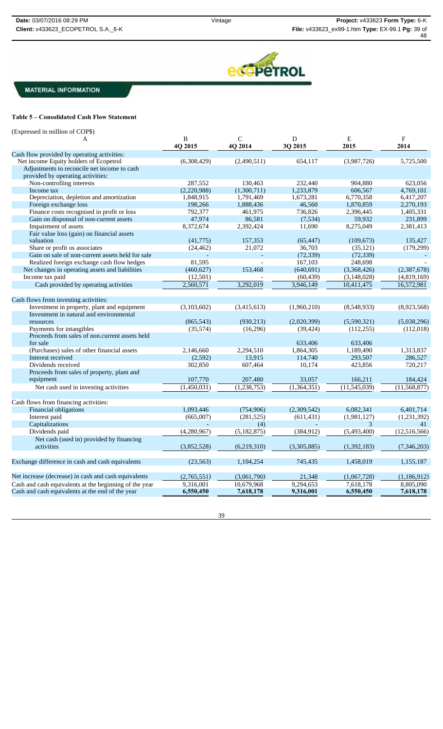48



**MATERIAL INFORMATION** 

# **Table 5 – Consolidated Cash Flow Statement**

| (Expressed in million of COP\$)                                                                            |              |                         |              |                |                                   |
|------------------------------------------------------------------------------------------------------------|--------------|-------------------------|--------------|----------------|-----------------------------------|
| A                                                                                                          | B<br>4Q 2015 | $\mathsf{C}$<br>4Q 2014 | D<br>3Q 2015 | E<br>2015      | $\boldsymbol{\mathrm{F}}$<br>2014 |
| Cash flow provided by operating activities:                                                                |              |                         |              |                |                                   |
| Net income Equity holders of Ecopetrol                                                                     | (6,308,429)  | (2,490,511)             | 654,117      | (3,987,726)    | 5,725,500                         |
| Adjustments to reconcile net income to cash                                                                |              |                         |              |                |                                   |
| provided by operating activities:                                                                          |              |                         |              |                |                                   |
| Non-controlling interests                                                                                  | 287,552      | 130,463                 | 232.440      | 904,880        | 623.056                           |
| Income tax                                                                                                 | (2,220,988)  | (1,300,711)             | 1,233,879    | 606,567        | 4,769,101                         |
| Depreciation, depletion and amortization                                                                   | 1,848,915    | 1,791,469               | 1,673,281    | 6,770,358      | 6,417,207                         |
| Foreign exchange loss                                                                                      | 198,266      | 1,888,436               | 46,560       | 1,870,859      | 2,270,193                         |
| Finance costs recognised in profit or loss                                                                 | 792,377      | 461,975                 | 736.826      | 2,396,445      | 1,405,331                         |
| Gain on disponsal of non-current assets                                                                    | 47,974       | 86,581                  | (7,534)      | 59,932         | 231,899                           |
| Impairment of assets                                                                                       | 8,372,674    | 2,392,424               | 11,690       | 8,275,049      | 2,381,413                         |
| Fair value loss (gain) on financial assets                                                                 |              |                         |              |                |                                   |
| valuation                                                                                                  | (41, 775)    | 157,353                 | (65, 447)    | (109, 673)     | 135,427                           |
| Share or profit os associates                                                                              | (24, 462)    | 21,072                  | 36,703       | (35, 121)      | (179, 299)                        |
| Gain on sale of non-current assets held for sale                                                           |              |                         | (72, 339)    | (72, 339)      |                                   |
| Realized foreign exchange cash flow hedges                                                                 | 81,595       |                         | 167,103      | 248.698        |                                   |
| Net changes in operating assets and liabilities                                                            | (460, 627)   | 153,468                 | (640, 691)   | (3,368,426)    | (2,387,678)                       |
| Income tax paid                                                                                            | (12,501)     |                         | (60, 439)    | (3,148,028)    | (4,819,169)                       |
| Cash provided by operating activities                                                                      | 2,560,571    | 3,292,019               | 3,946,149    | 10,411,475     | 16,572,981                        |
| Cash flows from investing activities:                                                                      |              |                         |              |                |                                   |
| Investment in property, plant and equipment                                                                | (3,103,602)  | (3,415,613)             | (1,960,210)  | (8,548,933)    | (8,923,568)                       |
| Investment in natural and environmental                                                                    |              |                         |              |                |                                   |
| resources                                                                                                  | (865, 543)   | (930, 213)              | (2,020,399)  | (5,590,321)    | (5,038,296)                       |
| Payments for intangibles                                                                                   | (35,574)     | (16,296)                | (39, 424)    | (112, 255)     | (112,018)                         |
| Proceeds from sales of non.current assets held                                                             |              |                         |              |                |                                   |
| for sale                                                                                                   |              |                         | 633,406      | 633,406        |                                   |
| (Purchases) sales of other financial assets                                                                | 2.146.660    | 2,294,510               | 1,864,305    | 1,189,490      | 1,313,837                         |
| Interest received                                                                                          | (2,592)      | 13,915                  | 114,740      | 293,507        | 286,527                           |
| Dividends received                                                                                         | 302,850      | 607.464                 | 10.174       | 423,856        | 720,217                           |
| Proceeds from sales of property, plant and                                                                 |              |                         |              |                |                                   |
| equipment                                                                                                  | 107,770      | 207,480                 | 33,057       | 166,211        | 184,424                           |
| Net cash used in investing activities                                                                      | (1,450,031)  | (1, 238, 753)           | (1,364,351)  | (11, 545, 039) | (11, 568, 877)                    |
| Cash flows from financing activities:                                                                      |              |                         |              |                |                                   |
| Financial obligations                                                                                      | 1,093,446    |                         | (2,309,542)  | 6,082,341      | 6,401,714                         |
| Interest paid                                                                                              | (665,007)    | (754,906)               | (611, 431)   | (1,981,127)    | (1,231,392)                       |
| Capitalizations                                                                                            |              | (281, 525)              |              |                |                                   |
|                                                                                                            |              | (4)                     |              | 3              | 41                                |
| Dividends paid                                                                                             | (4,280,967)  | (5,182,875)             | (384, 912)   | (5,493,400)    | (12,516,566)                      |
| Net cash (used in) provided by financing<br>activities                                                     | (3,852,528)  | (6,219,310)             | (3,305,885)  | (1,392,183)    | (7,346,203)                       |
| Exchange difference in cash and cash equivalents                                                           | (23, 563)    | 1,104,254               | 745,435      | 1,458,019      | 1,155,187                         |
| Net increase (decrease) in cash and cash equivalents                                                       | (2,765,551)  | (3,061,790)             | 21,348       | (1,067,728)    | (1,186,912)                       |
|                                                                                                            | 9,316,001    |                         | 9,294,653    | 7,618,178      | 8,805,090                         |
| Cash and cash equivalents at the beginning of the year<br>Cash and cash equivalents at the end of the year | 6,550,450    | 10,679,968<br>7,618,178 | 9,316,001    | 6,550,450      | 7,618,178                         |
|                                                                                                            |              |                         |              |                |                                   |

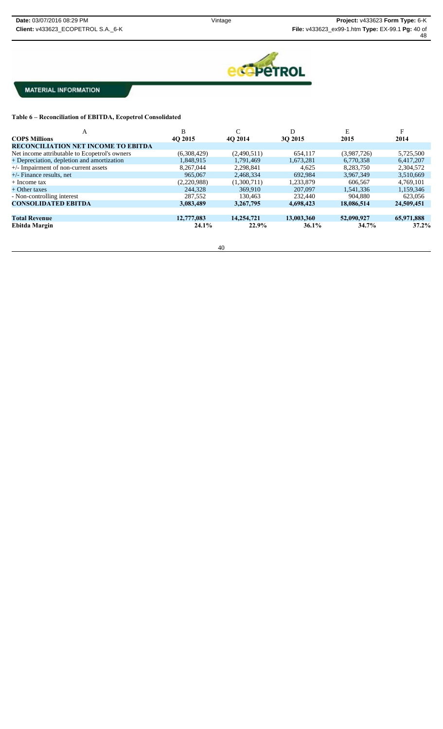

**Table 6 – Reconciliation of EBITDA, Ecopetrol Consolidated**

| А                                             | B           | C           | D          | E           | F          |
|-----------------------------------------------|-------------|-------------|------------|-------------|------------|
| <b>COPS Millions</b>                          | 4O 2015     | 4O 2014     | 30 2015    | 2015        | 2014       |
| <b>RECONCILIATION NET INCOME TO EBITDA</b>    |             |             |            |             |            |
| Net income attributable to Ecopetrol's owners | (6,308,429) | (2,490,511) | 654,117    | (3,987,726) | 5,725,500  |
| + Depreciation, depletion and amortization    | 1,848,915   | 1,791,469   | 1,673,281  | 6,770,358   | 6,417,207  |
| $+/-$ Impairment of non-current assets        | 8.267.044   | 2.298.841   | 4.625      | 8,283,750   | 2,304,572  |
| $+/-$ Finance results, net                    | 965,067     | 2,468,334   | 692.984    | 3,967,349   | 3,510,669  |
| $+$ Income tax                                | (2,220,988) | (1.300.711) | 1.233.879  | 606,567     | 4.769.101  |
| + Other taxes                                 | 244,328     | 369,910     | 207,097    | 1,541,336   | 1,159,346  |
| - Non-controlling interest                    | 287,552     | 130.463     | 232,440    | 904.880     | 623,056    |
| <b>CONSOLIDATED EBITDA</b>                    | 3,083,489   | 3.267.795   | 4.698.423  | 18,086,514  | 24,509,451 |
|                                               |             |             |            |             |            |
| <b>Total Revenue</b>                          | 12,777,083  | 14,254,721  | 13.003.360 | 52,090,927  | 65,971,888 |
| Ebitda Margin                                 | 24.1%       | 22.9%       | $36.1\%$   | 34.7%       | 37.2%      |
|                                               |             |             |            |             |            |
|                                               |             |             |            |             |            |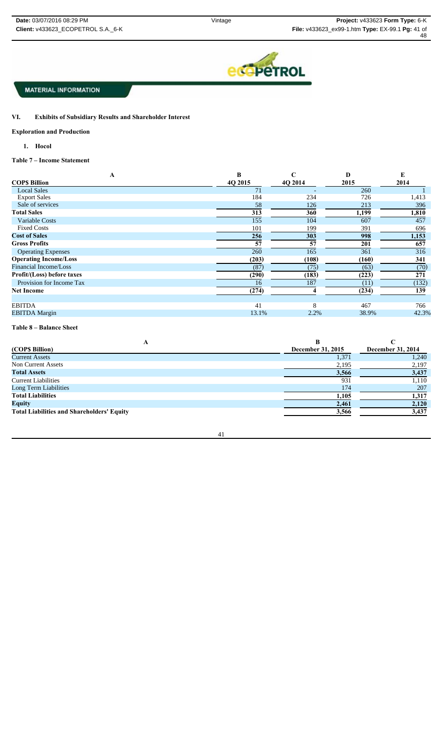

VI. **Exhibits of Subsidiary Results and Shareholder Interest** 

#### **Exploration and Production**

**1. Hocol**

# **Table 7 – Income Statement**

| A                            | B       | C       | D     | E     |
|------------------------------|---------|---------|-------|-------|
| <b>COPS Billion</b>          | 4O 2015 | 4O 2014 | 2015  | 2014  |
| <b>Local Sales</b>           | 71      |         | 260   |       |
| <b>Export Sales</b>          | 184     | 234     | 726   | 1,413 |
| Sale of services             | 58      | 126     | 213   | 396   |
| <b>Total Sales</b>           | 313     | 360     | 1,199 | 1,810 |
| Variable Costs               | 155     | 104     | 607   | 457   |
| <b>Fixed Costs</b>           | 101     | 199     | 391   | 696   |
| <b>Cost of Sales</b>         | 256     | 303     | 998   | 1,153 |
| <b>Gross Profits</b>         | 57      | 57      | 201   | 657   |
| <b>Operating Expenses</b>    | 260     | 165     | 361   | 316   |
| <b>Operating Income/Loss</b> | (203)   | (108)   | (160) | 341   |
| Financial Income/Loss        | (87)    | (75)    | (63)  | (70)  |
| Profit/(Loss) before taxes   | (290)   | (183)   | (223) | 271   |
| Provision for Income Tax     | 16      | 187     | (11)  | (132) |
| <b>Net Income</b>            | (274)   |         | (234) | 139   |
|                              |         |         |       |       |
| <b>EBITDA</b>                | 41      | 8       | 467   | 766   |
| <b>EBITDA</b> Margin         | 13.1%   | 2.2%    | 38.9% | 42.3% |
|                              |         |         |       |       |

#### **Table 8 – Balance Sheet**

| л                                                 |                   |                   |
|---------------------------------------------------|-------------------|-------------------|
| (COP\$ Billion)                                   | December 31, 2015 | December 31, 2014 |
| <b>Current Assets</b>                             | 1,371             | 1,240             |
| Non Current Assets                                | 2,195             | 2,197             |
| <b>Total Assets</b>                               | 3,566             | 3,437             |
| <b>Current Liabilities</b>                        | 931               | 1,110             |
| Long Term Liabilities                             | 174               | 207               |
| <b>Total Liabilities</b>                          | 1,105             | 1,317             |
| <b>Equity</b>                                     | 2,461             | 2,120             |
| <b>Total Liabilities and Shareholders' Equity</b> | 3,566             | 3,437             |

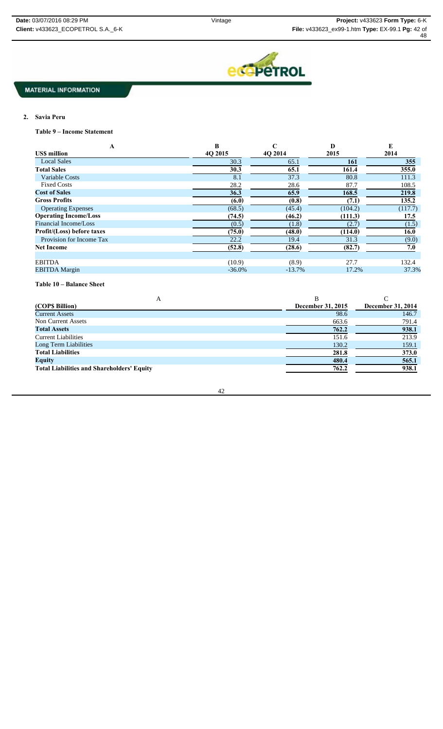

# **2. Savia Peru**

**Table 9 – Income Statement**

| A                            | B         | C        | D       | E       |
|------------------------------|-----------|----------|---------|---------|
| <b>USS million</b>           | 40 2015   | 40 2014  | 2015    | 2014    |
| <b>Local Sales</b>           | 30.3      | 65.1     | 161     | 355     |
| <b>Total Sales</b>           | 30.3      | 65.1     | 161.4   | 355.0   |
| <b>Variable Costs</b>        | 8.1       | 37.3     | 80.8    | 111.3   |
| <b>Fixed Costs</b>           | 28.2      | 28.6     | 87.7    | 108.5   |
| <b>Cost of Sales</b>         | 36.3      | 65.9     | 168.5   | 219.8   |
| <b>Gross Profits</b>         | (6.0)     | (0.8)    | (7.1)   | 135.2   |
| <b>Operating Expenses</b>    | (68.5)    | (45.4)   | (104.2) | (117.7) |
| <b>Operating Income/Loss</b> | (74.5)    | (46.2)   | (111.3) | 17.5    |
| Financial Income/Loss        | (0.5)     | (1.8)    | (2.7)   | (1.5)   |
| Profit/(Loss) before taxes   | (75.0)    | (48.0)   | (114.0) | 16.0    |
| Provision for Income Tax     | 22.2      | 19.4     | 31.3    | (9.0)   |
| <b>Net Income</b>            | (52.8)    | (28.6)   | (82.7)  | 7.0     |
|                              |           |          |         |         |
| <b>EBITDA</b>                | (10.9)    | (8.9)    | 27.7    | 132.4   |
| <b>EBITDA</b> Margin         | $-36.0\%$ | $-13.7%$ | 17.2%   | 37.3%   |

**Table 10 – Balance Sheet**

| A                                                 |                   |                   |
|---------------------------------------------------|-------------------|-------------------|
| (COPS Billion)                                    | December 31, 2015 | December 31, 2014 |
| <b>Current Assets</b>                             | 98.6              | 146.7             |
| Non Current Assets                                | 663.6             | 791.4             |
| <b>Total Assets</b>                               | 762.2             | 938.1             |
| <b>Current Liabilities</b>                        | 151.6             | 213.9             |
| Long Term Liabilities                             | 130.2             | 159.1             |
| <b>Total Liabilities</b>                          | 281.8             | 373.0             |
| <b>Equity</b>                                     | 480.4             | 565.1             |
| <b>Total Liabilities and Shareholders' Equity</b> | 762.2             | 938.1             |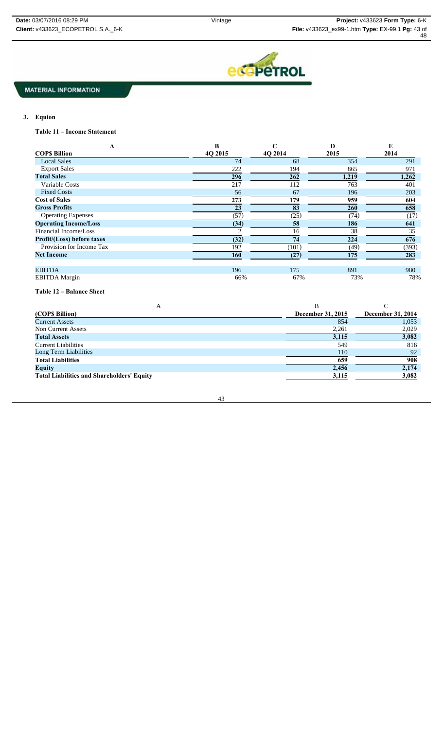

# **3. Equion**

**Table 11 – Income Statement**

| A                                 | B       | C       | D     | E     |
|-----------------------------------|---------|---------|-------|-------|
| <b>COPS Billion</b>               | 4Q 2015 | 4Q 2014 | 2015  | 2014  |
| <b>Local Sales</b>                | 74      | 68      | 354   | 291   |
| <b>Export Sales</b>               | 222     | 194     | 865   | 971   |
| <b>Total Sales</b>                | 296     | 262     | 1,219 | 1,262 |
| Variable Costs                    | 217     | 112     | 763   | 401   |
| <b>Fixed Costs</b>                | 56      | 67      | 196   | 203   |
| <b>Cost of Sales</b>              | 273     | 179     | 959   | 604   |
| <b>Gross Profits</b>              | 23      | 83      | 260   | 658   |
| <b>Operating Expenses</b>         | (57)    | (25)    | (74)  | (17)  |
| <b>Operating Income/Loss</b>      | (34)    | 58      | 186   | 641   |
| Financial Income/Loss             |         | 16      | 38    | 35    |
| <b>Profit/(Loss) before taxes</b> | (32)    | 74      | 224   | 676   |
| Provision for Income Tax          | 192     | (101)   | (49)  | (393) |
| <b>Net Income</b>                 | 160     | (27)    | 175   | 283   |
|                                   |         |         |       |       |
| <b>EBITDA</b>                     | 196     | 175     | 891   | 980   |
| <b>EBITDA</b> Margin              | 66%     | 67%     | 73%   | 78%   |

#### **Table 12 – Balance Sheet**

| A                                                 |                   |                   |
|---------------------------------------------------|-------------------|-------------------|
| (COPS Billion)                                    | December 31, 2015 | December 31, 2014 |
| <b>Current Assets</b>                             | 854               | 1,053             |
| Non Current Assets                                | 2,261             | 2,029             |
| <b>Total Assets</b>                               | 3,115             | 3,082             |
| <b>Current Liabilities</b>                        | 549               | 816               |
| Long Term Liabilities                             | 110               | 92                |
| <b>Total Liabilities</b>                          | 659               | 908               |
| <b>Equity</b>                                     | 2,456             | 2,174             |
| <b>Total Liabilities and Shareholders' Equity</b> | 3,115             | 3,082             |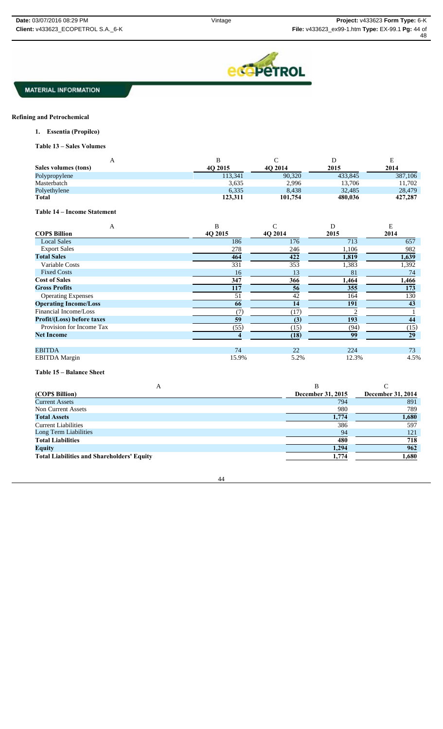

### **Refining and Petrochemical**

**1. Essentia (Propilco)**

**Table 13 – Sales Volumes** 

| л                    |         |         | ◡       | Ε       |
|----------------------|---------|---------|---------|---------|
| Sales volumes (tons) | 4O 2015 | 4O 2014 | 2015    | 2014    |
| Polypropylene        | 113,341 | 90,320  | 433,845 | 387,106 |
| Masterbatch          | 3,635   | 2,996   | 13,706  | 11,702  |
| Polyethylene         | 6,335   | 8.438   | 32,485  | 28,479  |
| <b>Total</b>         | 123,311 | 101,754 | 480,036 | 427,287 |

# **Table 14 – Income Statement**

| A                                 | B       | C       | D     | Е     |
|-----------------------------------|---------|---------|-------|-------|
| <b>COPS Billion</b>               | 4O 2015 | 4O 2014 | 2015  | 2014  |
| <b>Local Sales</b>                | 186     | 176     | 713   | 657   |
| <b>Export Sales</b>               | 278     | 246     | 1,106 | 982   |
| <b>Total Sales</b>                | 464     | 422     | 1,819 | 1,639 |
| Variable Costs                    | 331     | 353     | 1,383 | 1,392 |
| <b>Fixed Costs</b>                | 16      | 13      | 81    | 74    |
| <b>Cost of Sales</b>              | 347     | 366     | 1,464 | 1,466 |
| <b>Gross Profits</b>              | 117     | 56      | 355   | 173   |
| <b>Operating Expenses</b>         | 51      | 42      | 164   | 130   |
| <b>Operating Income/Loss</b>      | 66      | 14      | 191   | 43    |
| Financial Income/Loss             | (7)     | (17)    |       |       |
| <b>Profit/(Loss) before taxes</b> | 59      | (3)     | 193   | 44    |
| Provision for Income Tax          | (55)    | (15)    | (94)  | (15)  |
| <b>Net Income</b>                 |         | (18)    | 99    | 29    |
| <b>EBITDA</b>                     | 74      | 22      | 224   | 73    |
| <b>EBITDA</b> Margin              | 15.9%   | 5.2%    | 12.3% | 4.5%  |

**Table 15 – Balance Sheet**

| A                                                 |                   |                   |
|---------------------------------------------------|-------------------|-------------------|
| (COPS Billion)                                    | December 31, 2015 | December 31, 2014 |
| <b>Current Assets</b>                             | 794               | 891               |
| Non Current Assets                                | 980               | 789               |
| <b>Total Assets</b>                               | 1,774             | 1,680             |
| <b>Current Liabilities</b>                        | 386               | 597               |
| Long Term Liabilities                             | 94                | 121               |
| <b>Total Liabilities</b>                          | 480               | 718               |
| <b>Equity</b>                                     | 1,294             | 962               |
| <b>Total Liabilities and Shareholders' Equity</b> | 1,774             | 1,680             |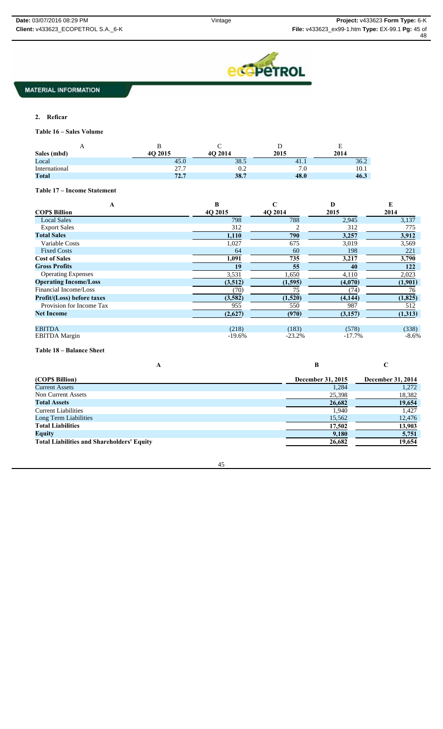

### **2. Reficar**

**Table 16 – Sales Volume**

| A             |               |         |      | н<br>∸ |
|---------------|---------------|---------|------|--------|
| Sales (mbd)   | <b>O</b> 2015 | 4O 2014 | 2015 | 2014   |
| Local         | 45.0          | 38.5    | 41.1 | 36.2   |
| International | 27.7          | 0.2     |      | 10.1   |
| <b>Total</b>  | 72.7          | 38.7    | 48.0 | 46.3   |

# **Table 17 – Income Statement**

| A                                 | B        | C        | D        | E        |
|-----------------------------------|----------|----------|----------|----------|
| <b>COPS Billion</b>               | 40 2015  | 4O 2014  | 2015     | 2014     |
| <b>Local Sales</b>                | 798      | 788      | 2,945    | 3,137    |
| <b>Export Sales</b>               | 312      |          | 312      | 775      |
| <b>Total Sales</b>                | 1,110    | 790      | 3,257    | 3,912    |
| Variable Costs                    | 1,027    | 675      | 3,019    | 3,569    |
| <b>Fixed Costs</b>                | 64       | 60       | 198      | 221      |
| <b>Cost of Sales</b>              | 1,091    | 735      | 3,217    | 3,790    |
| <b>Gross Profits</b>              | 19       | 55       | 40       | 122      |
| <b>Operating Expenses</b>         | 3,531    | 1,650    | 4,110    | 2,023    |
| <b>Operating Income/Loss</b>      | (3,512)  | (1,595)  | (4,070)  | (1,901)  |
| Financial Income/Loss             | (70)     | 75       | (74)     | 76       |
| <b>Profit/(Loss) before taxes</b> | (3,582)  | (1,520)  | (4, 144) | (1, 825) |
| Provision for Income Tax          | 955      | 550      | 987      | 512      |
| <b>Net Income</b>                 | (2,627)  | (970)    | (3,157)  | (1,313)  |
| <b>EBITDA</b>                     | (218)    | (183)    | (578)    | (338)    |
| <b>EBITDA</b> Margin              | $-19.6%$ | $-23.2%$ | $-17.7%$ | $-8.6\%$ |

# **Table 18 – Balance Sheet**

| (COP\$ Billion)                                   | December 31, 2015 | December 31, 2014 |
|---------------------------------------------------|-------------------|-------------------|
| <b>Current Assets</b>                             | 1,284             | 1,272             |
| Non Current Assets                                | 25,398            | 18,382            |
| <b>Total Assets</b>                               | 26,682            | 19,654            |
| <b>Current Liabilities</b>                        | 1,940             | 1.427             |
| Long Term Liabilities                             | 15,562            | 12,476            |
| <b>Total Liabilities</b>                          | 17,502            | 13,903            |
| <b>Equity</b>                                     | 9,180             | 5,751             |
| <b>Total Liabilities and Shareholders' Equity</b> | 26,682            | 19,654            |

**A B C**

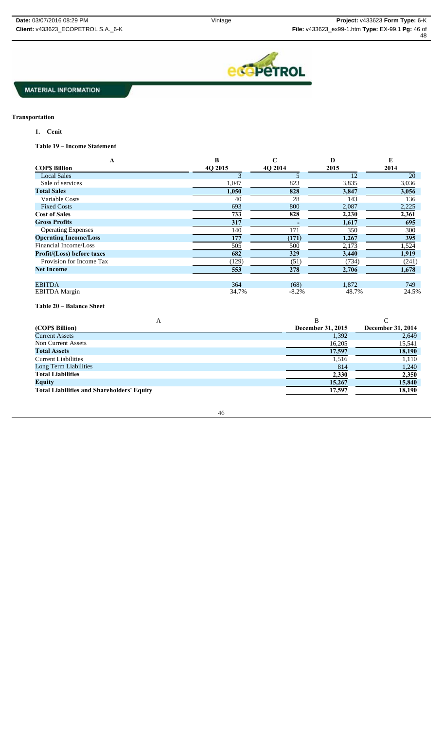

# **Transportation**

**1. Cenit**

**Table 19 – Income Statement**

| А                                 | B       | $\mathbf C$ | D     | E     |
|-----------------------------------|---------|-------------|-------|-------|
| <b>COPS Billion</b>               | 40 2015 | 4O 2014     | 2015  | 2014  |
| <b>Local Sales</b>                | 3       |             | 12    | 20    |
| Sale of services                  | 1,047   | 823         | 3,835 | 3,036 |
| <b>Total Sales</b>                | 1,050   | 828         | 3,847 | 3,056 |
| Variable Costs                    | 40      | 28          | 143   | 136   |
| <b>Fixed Costs</b>                | 693     | 800         | 2,087 | 2,225 |
| <b>Cost of Sales</b>              | 733     | 828         | 2,230 | 2,361 |
| <b>Gross Profits</b>              | 317     |             | 1,617 | 695   |
| <b>Operating Expenses</b>         | 140     | 171         | 350   | 300   |
| <b>Operating Income/Loss</b>      | 177     | (171)       | 1,267 | 395   |
| Financial Income/Loss             | 505     | 500         | 2,173 | 1,524 |
| <b>Profit/(Loss)</b> before taxes | 682     | 329         | 3,440 | 1,919 |
| Provision for Income Tax          | (129)   | (51)        | (734) | (241) |
| <b>Net Income</b>                 | 553     | 278         | 2,706 | 1,678 |
|                                   |         |             |       |       |
| <b>EBITDA</b>                     | 364     | (68)        | 1,872 | 749   |
| <b>EBITDA</b> Margin              | 34.7%   | $-8.2%$     | 48.7% | 24.5% |

**Table 20 – Balance Sheet**

| A                                                 |                   |                   |
|---------------------------------------------------|-------------------|-------------------|
| (COPS Billion)                                    | December 31, 2015 | December 31, 2014 |
| <b>Current Assets</b>                             | 1,392             | 2,649             |
| Non Current Assets                                | 16,205            | 15,541            |
| <b>Total Assets</b>                               | 17,597            | 18,190            |
| <b>Current Liabilities</b>                        | 1,516             | 1,110             |
| Long Term Liabilities                             | 814               | 1,240             |
| <b>Total Liabilities</b>                          | 2,330             | 2,350             |
| <b>Equity</b>                                     | 15,267            | 15,840            |
| <b>Total Liabilities and Shareholders' Equity</b> | 17,597            | 18,190            |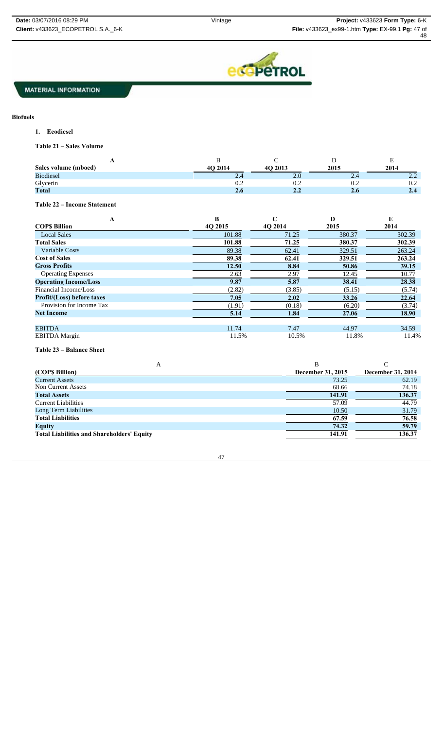

# **Biofuels**

**1. Ecodiesel**

**Table 21 – Sales Volume**

| $\overline{1}$       |         |                              |                               | ∸                                  |
|----------------------|---------|------------------------------|-------------------------------|------------------------------------|
| Sales volume (mboed) | 4O 2014 | 4O 2013                      | 2015                          | 2014                               |
| <b>Biodiesel</b>     | $-1$    | 2.0                          | $\mathcal{L}$ . $\mathcal{L}$ | $\cap$<br>$\overline{\phantom{a}}$ |
| Glycerin             | 0.2     | $\mathsf{U}.\mathsf{\Delta}$ | 0.2                           | 0.2                                |
| <b>Total</b>         | 2.6     | 4.4                          | 2.0                           | 2.4                                |

**Table 22 – Income Statement**

| A                                 | B       | C       | D      | E      |
|-----------------------------------|---------|---------|--------|--------|
| <b>COPS Billion</b>               | 40 2015 | 4O 2014 | 2015   | 2014   |
| <b>Local Sales</b>                | 101.88  | 71.25   | 380.37 | 302.39 |
| <b>Total Sales</b>                | 101.88  | 71.25   | 380.37 | 302.39 |
| Variable Costs                    | 89.38   | 62.41   | 329.51 | 263.24 |
| <b>Cost of Sales</b>              | 89.38   | 62.41   | 329.51 | 263.24 |
| <b>Gross Profits</b>              | 12.50   | 8.84    | 50.86  | 39.15  |
| <b>Operating Expenses</b>         | 2.63    | 2.97    | 12.45  | 10.77  |
| <b>Operating Income/Loss</b>      | 9.87    | 5.87    | 38.41  | 28.38  |
| Financial Income/Loss             | (2.82)  | (3.85)  | (5.15) | (5.74) |
| <b>Profit/(Loss)</b> before taxes | 7.05    | 2.02    | 33.26  | 22.64  |
| Provision for Income Tax          | (1.91)  | (0.18)  | (6.20) | (3.74) |
| <b>Net Income</b>                 | 5.14    | 1.84    | 27.06  | 18.90  |
|                                   |         |         |        |        |
| <b>EBITDA</b>                     | 11.74   | 7.47    | 44.97  | 34.59  |
| <b>EBITDA</b> Margin              | 11.5%   | 10.5%   | 11.8%  | 11.4%  |

#### **Table 23 – Balance Sheet**

| А                                                 |                   |                   |
|---------------------------------------------------|-------------------|-------------------|
| (COPS Billion)                                    | December 31, 2015 | December 31, 2014 |
| <b>Current Assets</b>                             | 73.25             | 62.19             |
| Non Current Assets                                | 68.66             | 74.18             |
| <b>Total Assets</b>                               | 141.91            | 136.37            |
| <b>Current Liabilities</b>                        | 57.09             | 44.79             |
| Long Term Liabilities                             | 10.50             | 31.79             |
| <b>Total Liabilities</b>                          | 67.59             | 76.58             |
| <b>Equity</b>                                     | 74.32             | 59.79             |
| <b>Total Liabilities and Shareholders' Equity</b> | 141.91            | 136.37            |